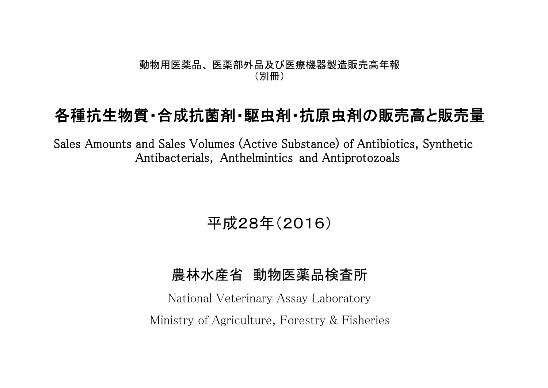#### 動物用医薬品、 医薬部外品及び医療機器製造販売高年報 (別冊)

# 各種抗生物質・合成抗菌剤・駆虫剤・抗原虫剤の販売高と販売量

Sales Amounts and Sales Volumes (Active Substance) of Antibiotics, Synthetic Antibacterials, Anthelmintics and Antiprotozoals

# 平成28年(2016)

### 農林水産省 動物医薬品検査所

National Veterinary Assay Laboratory Ministry of Agriculture, Forestry & Fisheries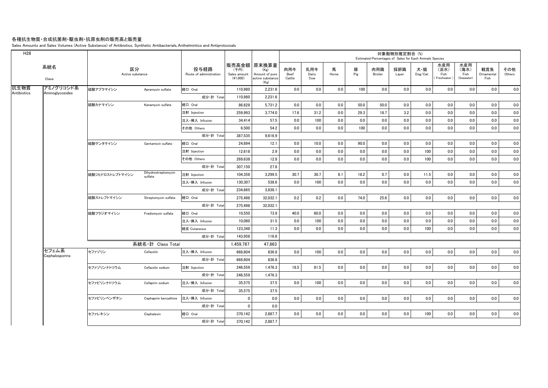#### 各種抗生物質・合成抗菌剤・駆虫剤・抗原虫剤の販売高と販売量

Sales Amounts and Sales Volumes (Active Substance) of Antibiotics, Synthetic Antibacterials, Anthelmintics and Antiprotozoals

| 系統名<br>Class |                                            |                       | 投与経路<br>Route of administration               | (千円)<br>Sales amount<br>(41,000) | (Kg)<br>Amount of pure<br>active substance<br>(Kg) | 肉用牛<br>Beef<br>Cattle                                                                                                                                                                                                                                                                                                                                             | 乳用牛<br>Dairy<br>Cow | 馬<br>Horse | 豚<br>Pig | 肉用鶏<br>Broiler | 採卵鶏<br>Layer | 犬・猫<br>Dog/Cat | 水産用<br>(淡水)<br>Fish<br>(Freshwater)              | 水産用<br>(海水)<br>Fish<br>(Seawater)                       | 観賞魚<br>Ornamental<br>Fish | その他<br>Others |
|--------------|--------------------------------------------|-----------------------|-----------------------------------------------|----------------------------------|----------------------------------------------------|-------------------------------------------------------------------------------------------------------------------------------------------------------------------------------------------------------------------------------------------------------------------------------------------------------------------------------------------------------------------|---------------------|------------|----------|----------------|--------------|----------------|--------------------------------------------------|---------------------------------------------------------|---------------------------|---------------|
| アミノグリコシド系    | 硫酸アプラマイシン                                  | Apramycin sulfate     | 経口 Oral                                       |                                  | 2,231.6                                            | 0.0                                                                                                                                                                                                                                                                                                                                                               | 0.0                 | 0.0        | 100      | 0.0            | 0.0          | 0.0            | 0.0                                              | 0.0                                                     | 0.0                       | 0.0           |
|              |                                            |                       | 成分·計 Total                                    |                                  | 2,231.6                                            |                                                                                                                                                                                                                                                                                                                                                                   |                     |            |          |                |              |                |                                                  |                                                         |                           |               |
|              | 硫酸カナマイシン                                   | Kanamycin sulfate     | 経口 Oral                                       |                                  | 5,731.2                                            | 0.0                                                                                                                                                                                                                                                                                                                                                               | 0.0                 | 0.0        | 50.0     | 50.0           | 0.0          | 0.0            | 0.0                                              | 0.0                                                     | 0.0                       | 0.0           |
|              |                                            |                       | 注射 Injection                                  |                                  | 3.774.0                                            | 17.6                                                                                                                                                                                                                                                                                                                                                              | 31.2                | 0.0        | 29.3     | 18.7           | 3.2          | 0.0            | 0.0                                              | 0.0                                                     | 0.0                       | 0.0           |
|              |                                            |                       | 注入·挿入 Infusion                                |                                  | 57.5                                               | 0.0                                                                                                                                                                                                                                                                                                                                                               | 100                 | 0.0        | 0.0      | 0.0            | 0.0          | 0.0            | 0.0                                              | 0.0                                                     | 0.0                       | 0.0           |
|              |                                            |                       | その他 Others                                    |                                  | 54.2                                               | 0.0                                                                                                                                                                                                                                                                                                                                                               | 0.0                 | 0.0        | 100      | 0.0            | 0.0          | 0.0            | 0.0                                              | 0.0                                                     | 0.0                       | 0.0           |
|              |                                            |                       | 成分·計 Total                                    |                                  | 9.616.9                                            |                                                                                                                                                                                                                                                                                                                                                                   |                     |            |          |                |              |                |                                                  |                                                         |                           |               |
|              | 硫酸ゲンタマイシン                                  | Gentamicin sulfate    | 経口 Oral                                       |                                  | 12.1                                               | 0.0                                                                                                                                                                                                                                                                                                                                                               | 10.0                | 0.0        | 90.0     | 0.0            | 0.0          | 0.0            | 0.0                                              | 0.0                                                     | 0.0                       | 0.0           |
|              |                                            |                       | 注射 Injection                                  |                                  | 2.9                                                | 0.0                                                                                                                                                                                                                                                                                                                                                               | 0.0                 | 0.0        | 0.0      | 0.0            | 0.0          | 100            | 0.0                                              | 0.0                                                     | 0.0                       | 0.0           |
|              |                                            |                       | その他 Others                                    |                                  | 12.8                                               | 0.0                                                                                                                                                                                                                                                                                                                                                               | 0.0                 | 0.0        | 0.0      | 0.0            | 0.0          | 100            | 0.0                                              | 0.0                                                     | 0.0                       | 0.0           |
|              |                                            |                       | 成分·計 Total                                    |                                  | 27.8                                               |                                                                                                                                                                                                                                                                                                                                                                   |                     |            |          |                |              |                |                                                  |                                                         |                           |               |
|              | 硫酸ジヒドロストレプトマイシン                            | sulfate               | 注射 Injection                                  |                                  | 3,299.5                                            | 30.7                                                                                                                                                                                                                                                                                                                                                              | 30.7                | 8.1        | 18.2     | 0.7            | 0.0          | 11.5           | 0.0                                              | 0.0                                                     | 0.0                       | 0.0           |
|              |                                            |                       | 注入·挿入 Infusion                                |                                  | 538.6                                              | 0.0                                                                                                                                                                                                                                                                                                                                                               | 100                 | 0.0        | 0.0      | 0.0            | 0.0          | 0.0            | 0.0                                              | 0.0                                                     | 0.0                       | 0.0           |
|              |                                            |                       | 成分·計 Total                                    |                                  | 3,838.1                                            |                                                                                                                                                                                                                                                                                                                                                                   |                     |            |          |                |              |                |                                                  |                                                         |                           |               |
|              | 硫酸ストレプトマイシン                                | Streptomycin sulfate  | 経口 Oral                                       |                                  | 32,032.1                                           |                                                                                                                                                                                                                                                                                                                                                                   | 0.2                 | 0.0        | 74.0     | 25.6           |              | 0.0            | 0.0                                              | 0.0                                                     | 0.0                       | 0.0           |
|              |                                            |                       | 成分·計 Total                                    |                                  | 32,032.1                                           |                                                                                                                                                                                                                                                                                                                                                                   |                     |            |          |                |              |                |                                                  |                                                         |                           |               |
|              | 硫酸フラジオマイシン                                 | Fradiomycin sulfate   | 経口 Oral                                       |                                  | 73.9                                               | 40.0                                                                                                                                                                                                                                                                                                                                                              | 60.0                | 0.0        | 0.0      | 0.0            | 0.0          | 0.0            | 0.0                                              | 0.0                                                     | 0.0                       | 0.0           |
|              |                                            |                       | 注入·挿入 Infusion                                |                                  | 31.5                                               | 0.0                                                                                                                                                                                                                                                                                                                                                               | 100                 | 0.0        | 0.0      | 0.0            | 0.0          | 0.0            | 0.0                                              | 0.0                                                     | 0.0                       | 0.0           |
|              |                                            |                       | 経皮 Cutaneous                                  |                                  | 11.3                                               | 0.0                                                                                                                                                                                                                                                                                                                                                               | 0.0                 | 0.0        | 0.0      | 0.0            | 0.0          | 100            | 0.0                                              | 0.0                                                     | 0.0                       | 0.0           |
|              |                                            |                       | 成分·計 Total                                    |                                  | 116.6                                              |                                                                                                                                                                                                                                                                                                                                                                   |                     |            |          |                |              |                |                                                  |                                                         |                           |               |
|              |                                            |                       |                                               |                                  | 47,863                                             |                                                                                                                                                                                                                                                                                                                                                                   |                     |            |          |                |              |                |                                                  |                                                         |                           |               |
|              | セファゾリン                                     | Cefazolin             | 注入·挿入 Infusion                                |                                  | 836.8                                              | 0.0                                                                                                                                                                                                                                                                                                                                                               | 100                 | 0.0        | 0.0      | 0.0            | 0.0          | 0.0            | 0.0                                              | 0.0                                                     | 0.0                       | 0.0           |
|              |                                            |                       | 成分·計 Total                                    |                                  | 836.8                                              |                                                                                                                                                                                                                                                                                                                                                                   |                     |            |          |                |              |                |                                                  |                                                         |                           |               |
|              | セファゾリンナトリウム                                | Cefazolin sodium      | 注射 Injection                                  |                                  | 1,476.3                                            | 18.5                                                                                                                                                                                                                                                                                                                                                              | 81.5                | 0.0        | 0.0      | 0.0            |              | 0.0            | 0.0                                              | 0.0                                                     | 0.0                       | 0.0           |
|              |                                            |                       | 成分·計 Total                                    |                                  | 1,476.3                                            |                                                                                                                                                                                                                                                                                                                                                                   |                     |            |          |                |              |                |                                                  |                                                         |                           |               |
|              | セファピリンナトリウム                                | Cefapirin sodium      | 注入·挿入 Infusion                                |                                  | 37.5                                               | 0.0                                                                                                                                                                                                                                                                                                                                                               | 100                 | 0.0        | 0.0      | 0.0            |              | 0.0            | 0.0                                              | 0.0                                                     | 0.0                       | 0.0           |
|              |                                            |                       | 成分·計 Total                                    |                                  | 37.5                                               |                                                                                                                                                                                                                                                                                                                                                                   |                     |            |          |                |              |                |                                                  |                                                         |                           |               |
|              | セファピリンベンザチン                                | Cephapirin benzathine | 注入·挿入 Infusion                                |                                  | 0.0                                                |                                                                                                                                                                                                                                                                                                                                                                   | 0.0                 | 0.0        | 0.0      | 0.0            |              | 0.0            | 0.0                                              | 0.0                                                     | 0.0                       | 0.0           |
|              |                                            |                       | 成分·計 Total                                    |                                  | 0.0                                                |                                                                                                                                                                                                                                                                                                                                                                   |                     |            |          |                |              |                |                                                  |                                                         |                           |               |
|              | セファレキシン                                    | Cephalexin            | 経口 Oral                                       |                                  | 2,887.7                                            | 0.0                                                                                                                                                                                                                                                                                                                                                               | 0.0                 | 0.0        | 0.0      | 0.0            |              | 100            | 0.0                                              | 0.0                                                     | 0.0                       | 0.0           |
|              |                                            |                       |                                               |                                  | 2,887.7                                            |                                                                                                                                                                                                                                                                                                                                                                   |                     |            |          |                |              |                |                                                  |                                                         |                           |               |
|              | Aminoglycosides<br>セフェム系<br>Cephalosporins |                       | 区分<br>Active substance<br>Dihydrostreptomycin | 系統名·計 Class Total                | 成分·計 Total                                         | 販売高金額 原末換算量<br>110.980<br>110,980<br>86,628<br>259.993<br>34,414<br>6,500<br>387.535<br>24,894<br>12,618<br>269,638<br>307,150<br>104,358<br>130,307<br>234,665<br>275,498<br>275,498<br>10,550<br>10.060<br>123,348<br>143,958<br>1,459,787<br>668.604<br>668,604<br>246,559<br>246.559<br>35,575<br>35,575<br>$\mathbf 0$<br>$\mathbf{0}$<br>370,142<br>370,142 | 0.2<br>0.0          |            |          |                |              |                | 対象動物別推定割合 (%)<br>0.0<br>0.0<br>0.0<br>0.0<br>0.0 | Estimated Percentages of Sales for Each Animals Species |                           |               |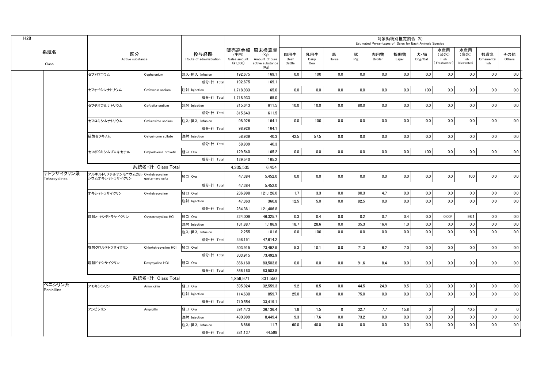|                            |                                                     |                       |                                 |                                  |                                                                   |                       |                     |              |          | Estimated Percentages of Sales for Each Animals Species | 対象動物別推定割合 (%) |                |                                   |                                   |                           |               |
|----------------------------|-----------------------------------------------------|-----------------------|---------------------------------|----------------------------------|-------------------------------------------------------------------|-----------------------|---------------------|--------------|----------|---------------------------------------------------------|---------------|----------------|-----------------------------------|-----------------------------------|---------------------------|---------------|
| 系統名<br>Class               | 区分<br>Active substance                              |                       | 投与経路<br>Route of administration | (千円)<br>Sales amount<br>(41,000) | 販売高金額 原末換算量<br>(Kg)<br>Amount of pure<br>active substance<br>(Kg) | 肉用牛<br>Beef<br>Cattle | 乳用牛<br>Dairy<br>Cow | 馬<br>Horse   | 豚<br>Pig | 肉用鶏<br>Broiler                                          | 採卵鶏<br>Layer  | 犬・猫<br>Dog/Cat | 水産用<br>(淡水)<br>Fish<br>Freshwater | 水産用<br>(海水)<br>Fish<br>(Seawater) | 観賞魚<br>Ornamental<br>Fish | その他<br>Others |
|                            | セファロニウム                                             | Cephalonium           | 注入·挿入 Infusion                  | 192,675                          | 169.1                                                             | 0.0                   | 100                 | 0.0          | 0.0      | 0.0                                                     | 0.0           | 0.0            | 0.0                               | 0.0                               | 0.0                       | 0.0           |
|                            |                                                     |                       | 成分·計 Total                      | 192,675                          | 169.1                                                             |                       |                     |              |          |                                                         |               |                |                                   |                                   |                           |               |
|                            | セフォベシンナトリウム                                         | Cefovecin sodium      | 注射 Injection                    | 1.718.933                        | 65.0                                                              | 0.0                   | 0.0                 | 0.0          | 0.0      | 0.0                                                     | 0.0           | 100            | 0.0                               | 0.0                               | 0.0                       | 0.0           |
|                            |                                                     |                       | 成分·計 Total                      | 1,718,933                        | 65.0                                                              |                       |                     |              |          |                                                         |               |                |                                   |                                   |                           |               |
|                            | セフチオフルナトリウム                                         | Ceftiofur sodium      | 注射 Injection                    | 815,643                          | 611.5                                                             | 10.0                  | 10.0                | 0.0          | 80.0     | 0.0                                                     | 0.0           | 0.0            | 0.0                               | 0.0                               | 0.0                       | 0.0           |
|                            |                                                     |                       | 成分·計 Total                      | 815,643                          | 611.5                                                             |                       |                     |              |          |                                                         |               |                |                                   |                                   |                           |               |
|                            | セフロキシムナトリウム                                         | Cefuroxime sodium     | 注入·挿入 Infusion                  | 98.926                           | 164.1                                                             | 0.0                   | 100                 | 0.0          | 0.0      | 0.0                                                     | 0.0           | 0.0            | 0.0                               | 0.0                               | 0.0                       | 0.0           |
|                            |                                                     |                       | 成分·計 Tota                       | 98.926                           | 164.1                                                             |                       |                     |              |          |                                                         |               |                |                                   |                                   |                           |               |
|                            | 硫酸セフキノム                                             | Cefquinome sulfate    | 注射 Injection                    | 58.939                           | 40.3                                                              | 42.5                  | 57.5                | 0.0          | 0.0      | 0.0                                                     | 0.0           | 0.0            | 0.0                               | 0.0                               | 0.0                       | 0.0           |
|                            |                                                     |                       | 成分·計 Total                      | 58.939                           | 40.3                                                              |                       |                     |              |          |                                                         |               |                |                                   |                                   |                           |               |
|                            | セフポドキシムプロキセチル                                       | Cefpodoxime proxetil  | 経口 Oral                         | 129,540                          | 165.2                                                             | $0.0\,$               | 0.0                 | 0.0          | 0.0      | 0.0                                                     | 0.0           | 100            | 0.0                               | 0.0                               | 0.0                       | 0.0           |
|                            |                                                     |                       | 成分·計 Total                      | 129,540                          | 165.2                                                             |                       |                     |              |          |                                                         |               |                |                                   |                                   |                           |               |
|                            | 系統名·計 Class Total                                   |                       | 4.335.535                       | 6.454                            |                                                                   |                       |                     |              |          |                                                         |               |                |                                   |                                   |                           |               |
| テトラサイクリン系<br>Tetracyclines | アルキルトリメチルアンモニウムカル Oxytetracycline<br>シウムオキシテトラサイクリン | quaternary salts      | 経口 Oral                         | 47.384                           | 5.452.0                                                           | 0.0                   | 0.0                 | 0.0          | 0.0      | 0.0                                                     | 0.0           | 0.0            | 0.0                               | 100                               | 0.0                       | 0.0           |
|                            |                                                     |                       | 成分·計 Total                      | 47,384                           | 5,452.0                                                           |                       |                     |              |          |                                                         |               |                |                                   |                                   |                           |               |
|                            | オキシテトラサイクリン                                         | Oxytetracycline       | 経口 Oral                         | 236,998                          | 121,126.0                                                         | 1.7                   | 3.3                 | 0.0          | 90.3     | 4.7                                                     | 0.0           | 0.0            | 0.0                               | 0.0                               | 0.0                       | 0.0           |
|                            |                                                     |                       | 注射 Injection                    | 47,363                           | 360.8                                                             | 12.5                  | 5.0                 | 0.0          | 82.5     | 0.0                                                     | 0.0           | 0.0            | 0.0                               | 0.0                               | 0.0                       | 0.0           |
|                            |                                                     |                       | 成分·計 Total                      | 284.361                          | 121.486.8                                                         |                       |                     |              |          |                                                         |               |                |                                   |                                   |                           |               |
|                            | 塩酸オキシテトラサイクリン                                       | Oxytetracycline HCI   | 経口 Oral                         | 224,009                          | 46.325.7                                                          | 0.3                   | 0.4                 | 0.0          | 0.2      | 0.7                                                     | 0.4           | 0.0            | 0.004                             | 98.1                              | 0.0                       | 0.0           |
|                            |                                                     |                       | 注射 Injection                    | 131,887                          | 1,186.9                                                           | 18.7                  | 28.6                | 0.0          | 35.3     | 16.4                                                    | 1.0           | 0.0            | 0.0                               | 0.0                               | 0.0                       | 0.0           |
|                            |                                                     |                       | 注入·挿入 Infusion                  | 2,255                            | 101.6                                                             | 0.0                   | 100                 | 0.0          | 0.0      | 0.0                                                     | 0.0           | 0.0            | 0.0                               | 0.0                               | 0.0                       | 0.0           |
|                            |                                                     |                       | 成分·計 Total                      | 358,151                          | 47,614.2                                                          |                       |                     |              |          |                                                         |               |                |                                   |                                   |                           |               |
|                            | 塩酸クロルテトラサイクリン                                       | Chlortetracycline HCI | 経口 Oral                         | 303,915                          | 73.492.9                                                          | 5.3                   | 10.1                | 0.0          | 71.3     | 6.2                                                     | 7.0           | 0.0            | 0.0                               | 0.0                               | 0.0                       | 0.0           |
|                            |                                                     |                       | 成分·計 Total                      | 303.915                          | 73.492.9                                                          |                       |                     |              |          |                                                         |               |                |                                   |                                   |                           |               |
|                            | 塩酸ドキシサイクリン                                          | Doxycycline HCI       | 経口 Oral                         | 866,160                          | 83.503.8                                                          | 0.0                   | 0.0                 | 0.0          | 91.6     | 8.4                                                     | 0.0           | 0.0            | 0.0                               | 0.0                               | 0.0                       | 0.0           |
|                            |                                                     |                       | 成分·計 Tota                       | 866,160                          | 83,503.8                                                          |                       |                     |              |          |                                                         |               |                |                                   |                                   |                           |               |
|                            |                                                     | 系統名·計 Class Total     |                                 | 1,859,971                        | 331,550                                                           |                       |                     |              |          |                                                         |               |                |                                   |                                   |                           |               |
| ペニシリン系<br>Penicillins      | アモキシシリン                                             | Amoxicillin           | 経口 Oral                         | 595,924                          | 32.559.3                                                          | 9.2                   | 8.5                 | 0.0          | 44.5     | 24.9                                                    | 9.5           | 3.3            | 0.0                               | 0.0                               | 0.0                       | 0.0           |
|                            |                                                     |                       | 注射 Injection                    | 114.630                          | 859.7                                                             | 25.0                  | 0.0                 | 0.0          | 75.0     | 0.0                                                     | 0.0           | 0.0            | 0.0                               | 0.0                               | 0.0                       | 0.0           |
|                            |                                                     |                       | 成分·計 Total                      | 710.554                          | 33,419.1                                                          |                       |                     |              |          |                                                         |               |                |                                   |                                   |                           |               |
|                            | アンピシリン                                              | Ampicillin            | 経口 Oral                         | 391,473                          | 36,136.4                                                          | 1.8                   | 1.5                 | $\mathbf{0}$ | 32.7     | 7.7                                                     | 15.8          | $\mathbf{0}$   | $\mathbf{0}$                      | 40.5                              | $\mathbf{0}$              | 0             |
|                            |                                                     |                       | 注射 Injection                    | 480,999                          | 8,449.4                                                           | 9.3                   | 17.6                | 0.0          | 73.2     | 0.0                                                     | 0.0           | 0.0            | 0.0                               | 0.0                               | 0.0                       | 0.0           |
|                            |                                                     |                       | 注入·挿入 Infusion                  | 8,666                            | 11.7                                                              | 60.0                  | 40.0                | 0.0          | 0.0      | 0.0                                                     | 0.0           | 0.0            | 0.0                               | 0.0                               | 0.0                       | 0.0           |
|                            |                                                     |                       | 成分·計 Total                      | 881,137                          | 44.598                                                            |                       |                     |              |          |                                                         |               |                |                                   |                                   |                           |               |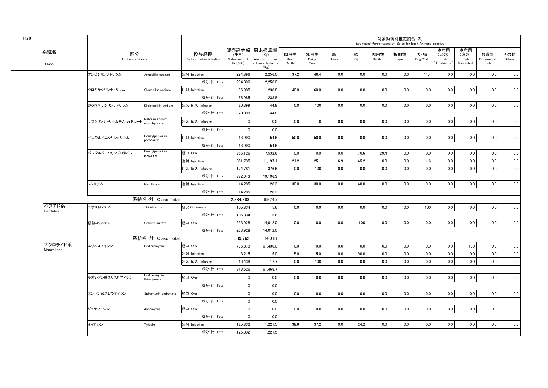| 販売高金額 原末換算量<br>水産用<br>水産用<br>系統名<br>区分<br>投与経路<br>豚<br>採卵鶏<br>肉用牛<br>乳用牛<br>馬<br>肉用鶏<br>観賞魚<br>(千円)<br>犬・猫<br>(淡水)<br>(海水)<br>(Kg)<br>Pig<br>Active substance<br>Route of administration<br>Beef<br>Horse<br>$\mathsf{Dog}/\mathsf{Cat}$<br>Fish<br>Ornamental<br>Sales amount<br>Amount of pure<br>Dairy<br>Broiler<br>Fish<br>Layer<br>(41,000)<br>active substance<br>Cattle<br>(Freshwater)<br>(Seawater)<br>Fish<br>Cow<br>Class<br>(Kg)<br>2,256.0<br>37.2<br>48.4<br>0.0<br>0.0<br>0.0<br>0.0<br>0.0<br>0.0<br>0.0<br>アンピシリンナトリウム<br>294,896<br>14.4<br>注射 Injection<br>Ampicillin sodium<br>成分·計 Total<br>294.896<br>2.256.0<br>0.0<br>0.0<br>0.0<br>0.0<br>0.0<br>0.0<br>66.985<br>238.8<br>40.0<br>60.0<br>0.0<br>0.0<br>クロキサシリンナトリウム<br>注射 Injection<br>Cloxacillin sodium<br>成分·計 Total<br>66.985<br>238.8<br>100<br>$0.0\,$<br>0.0<br>注入·挿入 Infusion<br>0.0<br>0.0<br>0.0<br>0.0<br>0.0<br>0.0<br>0.0<br>ジクロキサシリンナトリウム<br>Dicloxacillin sodium<br>20,399<br>44.8<br>成分·計 Total<br>20,399<br>44.8<br>Nafcillin sodium<br>$\mathbf 0$<br>0.0<br>0.0<br>0.0<br>0.0<br>0.0<br>0.0<br>0.0<br>0.0<br>0.0<br>ナフシリンナトリウムモノハイドレート renonbydrate<br>$\mathbf 0$<br>0.0<br>注入·挿入 Infusion<br>成分·計 Total<br>$\mathbf 0$<br>0.0<br>Benzylpenicillin<br>$0.0\,$<br>0.0<br>54.6<br>50.0<br>50.0<br>0.0<br>0.0<br>0.0<br>0.0<br>0.0<br>0.0<br>ベンジルペニシリンカリウム<br>注射 Injection<br>13,990<br>potassium<br>成分·計 Total<br>13,990<br>54.6<br>Benzylpenicillin<br>経口 Oral<br>ベンジルペニシリンプロカイン<br>356,126<br>7,532.6<br>0.0<br>0.0<br>0.0<br>70.6<br>29.4<br>0.0<br>0.0<br>0.0<br>0.0<br>0.0<br>procaine<br>25.1<br>45.2<br>0.0<br>0.0<br>0.0<br>0.0<br>注射 Injection<br>351.735<br>11.197.1<br>21.2<br>6.9<br>0.0<br>1.6<br>0.0<br>100<br>0.0<br>0.0<br>0.0<br>0.0<br>0.0<br>0.0<br>0.0<br>0.0<br>注入·挿入 Infusion<br>174,781<br>376.6<br>成分·計 Total<br>882.643<br>19.106.3<br>メシリナム<br>30.0<br>0.0<br>40.0<br>0.0<br>0.0<br>0.0<br>0.0<br>0.0<br>0.0<br>Mecillinam<br>注射 Injection<br>14,285<br>28.3<br>30.0<br>成分·計 Total<br>14,285<br>28.3<br>系統名·計 Class Total<br>2,884,888<br>99.745<br>ペプチド系<br>チオストレプトン<br>経皮 Cutaneous<br>105,834<br>5.6<br>0.0<br>0.0<br>0.0<br>0.0<br>0.0<br>0.0<br>100<br>0.0<br>0.0<br>0.0<br>Thiostrepton<br>Peptides<br>成分·計 Total<br>5.6<br>105.834<br>0.0<br>0.0<br>0.0<br>100<br>0.0<br>0.0<br>0.0<br>0.0<br>0.0<br>233.928<br>14.012.0<br>0.0<br>経口 Oral<br>硫酸コリスチン<br>Colistin sulfate<br>成分·計 Total<br>233,928<br>14,012.0<br>系統名·計 Class Total<br>339,762<br>14.018<br>マクロライド系<br>796,873<br>61,436.0<br>0.0<br>0.0<br>0.0<br>0.0<br>0.0<br>0.0<br>0.0<br>0.0<br>100<br>0.0<br>エリスロマイシン<br>経口 Oral<br>Erythromycin<br>Macrolides<br>15.0<br>5.0<br>5.0<br>0.0<br>90.0<br>0.0<br>0.0<br>0.0<br>0.0<br>0.0<br>0.0<br>注射 Injection<br>3,215<br>17.7<br>100<br>0.0<br>0.0<br>0.0<br>注入·挿入 Infusion<br>13.438<br>0.0<br>0.0<br>0.0<br>0.0<br>0.0<br>0.0<br>成分·計 Total<br>813,526<br>61,468.7<br>Erythromycin<br>経口 Oral<br>$\pmb{0}$<br>0.0<br>0.0<br>0.0<br>0.0<br>0.0<br>0.0<br>0.0<br>0.0<br>0.0<br>0.0<br>チオシアン酸エリスロマイシン<br>0.0<br>thiocyanate<br>$\mathbf 0$<br>成分·計 Total<br>0.0<br>0.0<br>0.0<br>0.0<br>0.0<br>0.0<br>0.0<br>0.0<br>エンボン酸スピラマイシン<br>経口 Oral<br>$\overline{\mathbf{0}}$<br>0.0<br>0.0<br>0.0<br>0.0<br>Spiramycin embonate<br>$\mathbf 0$<br>成分·計 Total<br>0.0<br>経口 Oral<br>$\overline{\mathbf{0}}$<br>0.0<br>0.0<br>0.0<br>0.0<br>0.0<br>0.0<br>0.0<br>0.0<br>0.0<br>0.0<br>ジョサマイシン<br>0.0<br>Josamycin<br>成分·計 Total<br>$\pmb{0}$<br>0.0<br>37.2<br>0.0<br>24.2<br>0.0<br>0.0<br>0.0<br>0.0<br>0.0<br>0.0<br>125,832<br>1,221.5<br>38.6<br>タイロシン<br>Tylosin<br>注射 Injection<br>成分·計 Total<br>125,832<br>1,221.5 |  |  |  |  |  | Estimated Percentages of Sales for Each Animals Species | 対象動物別推定割合 (%) |  |  |               |
|---------------------------------------------------------------------------------------------------------------------------------------------------------------------------------------------------------------------------------------------------------------------------------------------------------------------------------------------------------------------------------------------------------------------------------------------------------------------------------------------------------------------------------------------------------------------------------------------------------------------------------------------------------------------------------------------------------------------------------------------------------------------------------------------------------------------------------------------------------------------------------------------------------------------------------------------------------------------------------------------------------------------------------------------------------------------------------------------------------------------------------------------------------------------------------------------------------------------------------------------------------------------------------------------------------------------------------------------------------------------------------------------------------------------------------------------------------------------------------------------------------------------------------------------------------------------------------------------------------------------------------------------------------------------------------------------------------------------------------------------------------------------------------------------------------------------------------------------------------------------------------------------------------------------------------------------------------------------------------------------------------------------------------------------------------------------------------------------------------------------------------------------------------------------------------------------------------------------------------------------------------------------------------------------------------------------------------------------------------------------------------------------------------------------------------------------------------------------------------------------------------------------------------------------------------------------------------------------------------------------------------------------------------------------------------------------------------------------------------------------------------------------------------------------------------------------------------------------------------------------------------------------------------------------------------------------------------------------------------------------------------------------------------------------------------------------------------------------------------------------------------------------------------------------------------------------------------------------------------------------------------------------------------------------------------------------------------------------------------------------------------------------------------------------------------------------------------------------------------------------------------------------------------------------------------------------------------------------------------------------------------------------------------|--|--|--|--|--|---------------------------------------------------------|---------------|--|--|---------------|
|                                                                                                                                                                                                                                                                                                                                                                                                                                                                                                                                                                                                                                                                                                                                                                                                                                                                                                                                                                                                                                                                                                                                                                                                                                                                                                                                                                                                                                                                                                                                                                                                                                                                                                                                                                                                                                                                                                                                                                                                                                                                                                                                                                                                                                                                                                                                                                                                                                                                                                                                                                                                                                                                                                                                                                                                                                                                                                                                                                                                                                                                                                                                                                                                                                                                                                                                                                                                                                                                                                                                                                                                                                                         |  |  |  |  |  |                                                         |               |  |  | その他<br>Others |
|                                                                                                                                                                                                                                                                                                                                                                                                                                                                                                                                                                                                                                                                                                                                                                                                                                                                                                                                                                                                                                                                                                                                                                                                                                                                                                                                                                                                                                                                                                                                                                                                                                                                                                                                                                                                                                                                                                                                                                                                                                                                                                                                                                                                                                                                                                                                                                                                                                                                                                                                                                                                                                                                                                                                                                                                                                                                                                                                                                                                                                                                                                                                                                                                                                                                                                                                                                                                                                                                                                                                                                                                                                                         |  |  |  |  |  |                                                         |               |  |  | 0.0           |
|                                                                                                                                                                                                                                                                                                                                                                                                                                                                                                                                                                                                                                                                                                                                                                                                                                                                                                                                                                                                                                                                                                                                                                                                                                                                                                                                                                                                                                                                                                                                                                                                                                                                                                                                                                                                                                                                                                                                                                                                                                                                                                                                                                                                                                                                                                                                                                                                                                                                                                                                                                                                                                                                                                                                                                                                                                                                                                                                                                                                                                                                                                                                                                                                                                                                                                                                                                                                                                                                                                                                                                                                                                                         |  |  |  |  |  |                                                         |               |  |  |               |
|                                                                                                                                                                                                                                                                                                                                                                                                                                                                                                                                                                                                                                                                                                                                                                                                                                                                                                                                                                                                                                                                                                                                                                                                                                                                                                                                                                                                                                                                                                                                                                                                                                                                                                                                                                                                                                                                                                                                                                                                                                                                                                                                                                                                                                                                                                                                                                                                                                                                                                                                                                                                                                                                                                                                                                                                                                                                                                                                                                                                                                                                                                                                                                                                                                                                                                                                                                                                                                                                                                                                                                                                                                                         |  |  |  |  |  |                                                         |               |  |  | 0.0           |
|                                                                                                                                                                                                                                                                                                                                                                                                                                                                                                                                                                                                                                                                                                                                                                                                                                                                                                                                                                                                                                                                                                                                                                                                                                                                                                                                                                                                                                                                                                                                                                                                                                                                                                                                                                                                                                                                                                                                                                                                                                                                                                                                                                                                                                                                                                                                                                                                                                                                                                                                                                                                                                                                                                                                                                                                                                                                                                                                                                                                                                                                                                                                                                                                                                                                                                                                                                                                                                                                                                                                                                                                                                                         |  |  |  |  |  |                                                         |               |  |  |               |
|                                                                                                                                                                                                                                                                                                                                                                                                                                                                                                                                                                                                                                                                                                                                                                                                                                                                                                                                                                                                                                                                                                                                                                                                                                                                                                                                                                                                                                                                                                                                                                                                                                                                                                                                                                                                                                                                                                                                                                                                                                                                                                                                                                                                                                                                                                                                                                                                                                                                                                                                                                                                                                                                                                                                                                                                                                                                                                                                                                                                                                                                                                                                                                                                                                                                                                                                                                                                                                                                                                                                                                                                                                                         |  |  |  |  |  |                                                         |               |  |  | 0.0           |
|                                                                                                                                                                                                                                                                                                                                                                                                                                                                                                                                                                                                                                                                                                                                                                                                                                                                                                                                                                                                                                                                                                                                                                                                                                                                                                                                                                                                                                                                                                                                                                                                                                                                                                                                                                                                                                                                                                                                                                                                                                                                                                                                                                                                                                                                                                                                                                                                                                                                                                                                                                                                                                                                                                                                                                                                                                                                                                                                                                                                                                                                                                                                                                                                                                                                                                                                                                                                                                                                                                                                                                                                                                                         |  |  |  |  |  |                                                         |               |  |  |               |
|                                                                                                                                                                                                                                                                                                                                                                                                                                                                                                                                                                                                                                                                                                                                                                                                                                                                                                                                                                                                                                                                                                                                                                                                                                                                                                                                                                                                                                                                                                                                                                                                                                                                                                                                                                                                                                                                                                                                                                                                                                                                                                                                                                                                                                                                                                                                                                                                                                                                                                                                                                                                                                                                                                                                                                                                                                                                                                                                                                                                                                                                                                                                                                                                                                                                                                                                                                                                                                                                                                                                                                                                                                                         |  |  |  |  |  |                                                         |               |  |  | 0.0           |
|                                                                                                                                                                                                                                                                                                                                                                                                                                                                                                                                                                                                                                                                                                                                                                                                                                                                                                                                                                                                                                                                                                                                                                                                                                                                                                                                                                                                                                                                                                                                                                                                                                                                                                                                                                                                                                                                                                                                                                                                                                                                                                                                                                                                                                                                                                                                                                                                                                                                                                                                                                                                                                                                                                                                                                                                                                                                                                                                                                                                                                                                                                                                                                                                                                                                                                                                                                                                                                                                                                                                                                                                                                                         |  |  |  |  |  |                                                         |               |  |  |               |
|                                                                                                                                                                                                                                                                                                                                                                                                                                                                                                                                                                                                                                                                                                                                                                                                                                                                                                                                                                                                                                                                                                                                                                                                                                                                                                                                                                                                                                                                                                                                                                                                                                                                                                                                                                                                                                                                                                                                                                                                                                                                                                                                                                                                                                                                                                                                                                                                                                                                                                                                                                                                                                                                                                                                                                                                                                                                                                                                                                                                                                                                                                                                                                                                                                                                                                                                                                                                                                                                                                                                                                                                                                                         |  |  |  |  |  |                                                         |               |  |  | 0.0           |
|                                                                                                                                                                                                                                                                                                                                                                                                                                                                                                                                                                                                                                                                                                                                                                                                                                                                                                                                                                                                                                                                                                                                                                                                                                                                                                                                                                                                                                                                                                                                                                                                                                                                                                                                                                                                                                                                                                                                                                                                                                                                                                                                                                                                                                                                                                                                                                                                                                                                                                                                                                                                                                                                                                                                                                                                                                                                                                                                                                                                                                                                                                                                                                                                                                                                                                                                                                                                                                                                                                                                                                                                                                                         |  |  |  |  |  |                                                         |               |  |  |               |
|                                                                                                                                                                                                                                                                                                                                                                                                                                                                                                                                                                                                                                                                                                                                                                                                                                                                                                                                                                                                                                                                                                                                                                                                                                                                                                                                                                                                                                                                                                                                                                                                                                                                                                                                                                                                                                                                                                                                                                                                                                                                                                                                                                                                                                                                                                                                                                                                                                                                                                                                                                                                                                                                                                                                                                                                                                                                                                                                                                                                                                                                                                                                                                                                                                                                                                                                                                                                                                                                                                                                                                                                                                                         |  |  |  |  |  |                                                         |               |  |  | 0.0           |
|                                                                                                                                                                                                                                                                                                                                                                                                                                                                                                                                                                                                                                                                                                                                                                                                                                                                                                                                                                                                                                                                                                                                                                                                                                                                                                                                                                                                                                                                                                                                                                                                                                                                                                                                                                                                                                                                                                                                                                                                                                                                                                                                                                                                                                                                                                                                                                                                                                                                                                                                                                                                                                                                                                                                                                                                                                                                                                                                                                                                                                                                                                                                                                                                                                                                                                                                                                                                                                                                                                                                                                                                                                                         |  |  |  |  |  |                                                         |               |  |  | 0.0           |
|                                                                                                                                                                                                                                                                                                                                                                                                                                                                                                                                                                                                                                                                                                                                                                                                                                                                                                                                                                                                                                                                                                                                                                                                                                                                                                                                                                                                                                                                                                                                                                                                                                                                                                                                                                                                                                                                                                                                                                                                                                                                                                                                                                                                                                                                                                                                                                                                                                                                                                                                                                                                                                                                                                                                                                                                                                                                                                                                                                                                                                                                                                                                                                                                                                                                                                                                                                                                                                                                                                                                                                                                                                                         |  |  |  |  |  |                                                         |               |  |  | 0.0           |
|                                                                                                                                                                                                                                                                                                                                                                                                                                                                                                                                                                                                                                                                                                                                                                                                                                                                                                                                                                                                                                                                                                                                                                                                                                                                                                                                                                                                                                                                                                                                                                                                                                                                                                                                                                                                                                                                                                                                                                                                                                                                                                                                                                                                                                                                                                                                                                                                                                                                                                                                                                                                                                                                                                                                                                                                                                                                                                                                                                                                                                                                                                                                                                                                                                                                                                                                                                                                                                                                                                                                                                                                                                                         |  |  |  |  |  |                                                         |               |  |  |               |
|                                                                                                                                                                                                                                                                                                                                                                                                                                                                                                                                                                                                                                                                                                                                                                                                                                                                                                                                                                                                                                                                                                                                                                                                                                                                                                                                                                                                                                                                                                                                                                                                                                                                                                                                                                                                                                                                                                                                                                                                                                                                                                                                                                                                                                                                                                                                                                                                                                                                                                                                                                                                                                                                                                                                                                                                                                                                                                                                                                                                                                                                                                                                                                                                                                                                                                                                                                                                                                                                                                                                                                                                                                                         |  |  |  |  |  |                                                         |               |  |  | 0.0           |
|                                                                                                                                                                                                                                                                                                                                                                                                                                                                                                                                                                                                                                                                                                                                                                                                                                                                                                                                                                                                                                                                                                                                                                                                                                                                                                                                                                                                                                                                                                                                                                                                                                                                                                                                                                                                                                                                                                                                                                                                                                                                                                                                                                                                                                                                                                                                                                                                                                                                                                                                                                                                                                                                                                                                                                                                                                                                                                                                                                                                                                                                                                                                                                                                                                                                                                                                                                                                                                                                                                                                                                                                                                                         |  |  |  |  |  |                                                         |               |  |  |               |
|                                                                                                                                                                                                                                                                                                                                                                                                                                                                                                                                                                                                                                                                                                                                                                                                                                                                                                                                                                                                                                                                                                                                                                                                                                                                                                                                                                                                                                                                                                                                                                                                                                                                                                                                                                                                                                                                                                                                                                                                                                                                                                                                                                                                                                                                                                                                                                                                                                                                                                                                                                                                                                                                                                                                                                                                                                                                                                                                                                                                                                                                                                                                                                                                                                                                                                                                                                                                                                                                                                                                                                                                                                                         |  |  |  |  |  |                                                         |               |  |  |               |
|                                                                                                                                                                                                                                                                                                                                                                                                                                                                                                                                                                                                                                                                                                                                                                                                                                                                                                                                                                                                                                                                                                                                                                                                                                                                                                                                                                                                                                                                                                                                                                                                                                                                                                                                                                                                                                                                                                                                                                                                                                                                                                                                                                                                                                                                                                                                                                                                                                                                                                                                                                                                                                                                                                                                                                                                                                                                                                                                                                                                                                                                                                                                                                                                                                                                                                                                                                                                                                                                                                                                                                                                                                                         |  |  |  |  |  |                                                         |               |  |  | 0.0           |
|                                                                                                                                                                                                                                                                                                                                                                                                                                                                                                                                                                                                                                                                                                                                                                                                                                                                                                                                                                                                                                                                                                                                                                                                                                                                                                                                                                                                                                                                                                                                                                                                                                                                                                                                                                                                                                                                                                                                                                                                                                                                                                                                                                                                                                                                                                                                                                                                                                                                                                                                                                                                                                                                                                                                                                                                                                                                                                                                                                                                                                                                                                                                                                                                                                                                                                                                                                                                                                                                                                                                                                                                                                                         |  |  |  |  |  |                                                         |               |  |  |               |
|                                                                                                                                                                                                                                                                                                                                                                                                                                                                                                                                                                                                                                                                                                                                                                                                                                                                                                                                                                                                                                                                                                                                                                                                                                                                                                                                                                                                                                                                                                                                                                                                                                                                                                                                                                                                                                                                                                                                                                                                                                                                                                                                                                                                                                                                                                                                                                                                                                                                                                                                                                                                                                                                                                                                                                                                                                                                                                                                                                                                                                                                                                                                                                                                                                                                                                                                                                                                                                                                                                                                                                                                                                                         |  |  |  |  |  |                                                         |               |  |  | 0.0           |
|                                                                                                                                                                                                                                                                                                                                                                                                                                                                                                                                                                                                                                                                                                                                                                                                                                                                                                                                                                                                                                                                                                                                                                                                                                                                                                                                                                                                                                                                                                                                                                                                                                                                                                                                                                                                                                                                                                                                                                                                                                                                                                                                                                                                                                                                                                                                                                                                                                                                                                                                                                                                                                                                                                                                                                                                                                                                                                                                                                                                                                                                                                                                                                                                                                                                                                                                                                                                                                                                                                                                                                                                                                                         |  |  |  |  |  |                                                         |               |  |  |               |
|                                                                                                                                                                                                                                                                                                                                                                                                                                                                                                                                                                                                                                                                                                                                                                                                                                                                                                                                                                                                                                                                                                                                                                                                                                                                                                                                                                                                                                                                                                                                                                                                                                                                                                                                                                                                                                                                                                                                                                                                                                                                                                                                                                                                                                                                                                                                                                                                                                                                                                                                                                                                                                                                                                                                                                                                                                                                                                                                                                                                                                                                                                                                                                                                                                                                                                                                                                                                                                                                                                                                                                                                                                                         |  |  |  |  |  |                                                         |               |  |  |               |
|                                                                                                                                                                                                                                                                                                                                                                                                                                                                                                                                                                                                                                                                                                                                                                                                                                                                                                                                                                                                                                                                                                                                                                                                                                                                                                                                                                                                                                                                                                                                                                                                                                                                                                                                                                                                                                                                                                                                                                                                                                                                                                                                                                                                                                                                                                                                                                                                                                                                                                                                                                                                                                                                                                                                                                                                                                                                                                                                                                                                                                                                                                                                                                                                                                                                                                                                                                                                                                                                                                                                                                                                                                                         |  |  |  |  |  |                                                         |               |  |  | 0.0           |
|                                                                                                                                                                                                                                                                                                                                                                                                                                                                                                                                                                                                                                                                                                                                                                                                                                                                                                                                                                                                                                                                                                                                                                                                                                                                                                                                                                                                                                                                                                                                                                                                                                                                                                                                                                                                                                                                                                                                                                                                                                                                                                                                                                                                                                                                                                                                                                                                                                                                                                                                                                                                                                                                                                                                                                                                                                                                                                                                                                                                                                                                                                                                                                                                                                                                                                                                                                                                                                                                                                                                                                                                                                                         |  |  |  |  |  |                                                         |               |  |  | 0.0           |
|                                                                                                                                                                                                                                                                                                                                                                                                                                                                                                                                                                                                                                                                                                                                                                                                                                                                                                                                                                                                                                                                                                                                                                                                                                                                                                                                                                                                                                                                                                                                                                                                                                                                                                                                                                                                                                                                                                                                                                                                                                                                                                                                                                                                                                                                                                                                                                                                                                                                                                                                                                                                                                                                                                                                                                                                                                                                                                                                                                                                                                                                                                                                                                                                                                                                                                                                                                                                                                                                                                                                                                                                                                                         |  |  |  |  |  |                                                         |               |  |  | 0.0           |
|                                                                                                                                                                                                                                                                                                                                                                                                                                                                                                                                                                                                                                                                                                                                                                                                                                                                                                                                                                                                                                                                                                                                                                                                                                                                                                                                                                                                                                                                                                                                                                                                                                                                                                                                                                                                                                                                                                                                                                                                                                                                                                                                                                                                                                                                                                                                                                                                                                                                                                                                                                                                                                                                                                                                                                                                                                                                                                                                                                                                                                                                                                                                                                                                                                                                                                                                                                                                                                                                                                                                                                                                                                                         |  |  |  |  |  |                                                         |               |  |  |               |
|                                                                                                                                                                                                                                                                                                                                                                                                                                                                                                                                                                                                                                                                                                                                                                                                                                                                                                                                                                                                                                                                                                                                                                                                                                                                                                                                                                                                                                                                                                                                                                                                                                                                                                                                                                                                                                                                                                                                                                                                                                                                                                                                                                                                                                                                                                                                                                                                                                                                                                                                                                                                                                                                                                                                                                                                                                                                                                                                                                                                                                                                                                                                                                                                                                                                                                                                                                                                                                                                                                                                                                                                                                                         |  |  |  |  |  |                                                         |               |  |  | 0.0           |
|                                                                                                                                                                                                                                                                                                                                                                                                                                                                                                                                                                                                                                                                                                                                                                                                                                                                                                                                                                                                                                                                                                                                                                                                                                                                                                                                                                                                                                                                                                                                                                                                                                                                                                                                                                                                                                                                                                                                                                                                                                                                                                                                                                                                                                                                                                                                                                                                                                                                                                                                                                                                                                                                                                                                                                                                                                                                                                                                                                                                                                                                                                                                                                                                                                                                                                                                                                                                                                                                                                                                                                                                                                                         |  |  |  |  |  |                                                         |               |  |  |               |
|                                                                                                                                                                                                                                                                                                                                                                                                                                                                                                                                                                                                                                                                                                                                                                                                                                                                                                                                                                                                                                                                                                                                                                                                                                                                                                                                                                                                                                                                                                                                                                                                                                                                                                                                                                                                                                                                                                                                                                                                                                                                                                                                                                                                                                                                                                                                                                                                                                                                                                                                                                                                                                                                                                                                                                                                                                                                                                                                                                                                                                                                                                                                                                                                                                                                                                                                                                                                                                                                                                                                                                                                                                                         |  |  |  |  |  |                                                         |               |  |  | 0.0           |
|                                                                                                                                                                                                                                                                                                                                                                                                                                                                                                                                                                                                                                                                                                                                                                                                                                                                                                                                                                                                                                                                                                                                                                                                                                                                                                                                                                                                                                                                                                                                                                                                                                                                                                                                                                                                                                                                                                                                                                                                                                                                                                                                                                                                                                                                                                                                                                                                                                                                                                                                                                                                                                                                                                                                                                                                                                                                                                                                                                                                                                                                                                                                                                                                                                                                                                                                                                                                                                                                                                                                                                                                                                                         |  |  |  |  |  |                                                         |               |  |  |               |
|                                                                                                                                                                                                                                                                                                                                                                                                                                                                                                                                                                                                                                                                                                                                                                                                                                                                                                                                                                                                                                                                                                                                                                                                                                                                                                                                                                                                                                                                                                                                                                                                                                                                                                                                                                                                                                                                                                                                                                                                                                                                                                                                                                                                                                                                                                                                                                                                                                                                                                                                                                                                                                                                                                                                                                                                                                                                                                                                                                                                                                                                                                                                                                                                                                                                                                                                                                                                                                                                                                                                                                                                                                                         |  |  |  |  |  |                                                         |               |  |  | 0.0           |
|                                                                                                                                                                                                                                                                                                                                                                                                                                                                                                                                                                                                                                                                                                                                                                                                                                                                                                                                                                                                                                                                                                                                                                                                                                                                                                                                                                                                                                                                                                                                                                                                                                                                                                                                                                                                                                                                                                                                                                                                                                                                                                                                                                                                                                                                                                                                                                                                                                                                                                                                                                                                                                                                                                                                                                                                                                                                                                                                                                                                                                                                                                                                                                                                                                                                                                                                                                                                                                                                                                                                                                                                                                                         |  |  |  |  |  |                                                         |               |  |  |               |
|                                                                                                                                                                                                                                                                                                                                                                                                                                                                                                                                                                                                                                                                                                                                                                                                                                                                                                                                                                                                                                                                                                                                                                                                                                                                                                                                                                                                                                                                                                                                                                                                                                                                                                                                                                                                                                                                                                                                                                                                                                                                                                                                                                                                                                                                                                                                                                                                                                                                                                                                                                                                                                                                                                                                                                                                                                                                                                                                                                                                                                                                                                                                                                                                                                                                                                                                                                                                                                                                                                                                                                                                                                                         |  |  |  |  |  |                                                         |               |  |  | 0.0           |
|                                                                                                                                                                                                                                                                                                                                                                                                                                                                                                                                                                                                                                                                                                                                                                                                                                                                                                                                                                                                                                                                                                                                                                                                                                                                                                                                                                                                                                                                                                                                                                                                                                                                                                                                                                                                                                                                                                                                                                                                                                                                                                                                                                                                                                                                                                                                                                                                                                                                                                                                                                                                                                                                                                                                                                                                                                                                                                                                                                                                                                                                                                                                                                                                                                                                                                                                                                                                                                                                                                                                                                                                                                                         |  |  |  |  |  |                                                         |               |  |  |               |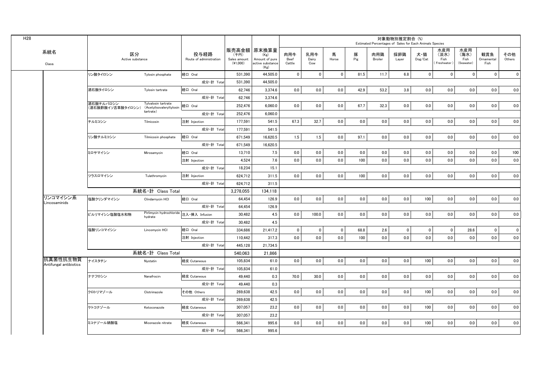|                                    |                                |                                                 |                                 |                                    |                                                                   |                       |                     |             |          | Estimated Percentages of Sales for Each Animals Species | 対象動物別推定割合 (%) |                                    |                                     |                                   |                           |               |
|------------------------------------|--------------------------------|-------------------------------------------------|---------------------------------|------------------------------------|-------------------------------------------------------------------|-----------------------|---------------------|-------------|----------|---------------------------------------------------------|---------------|------------------------------------|-------------------------------------|-----------------------------------|---------------------------|---------------|
| 系統名<br>Class                       | 区分<br>Active substance         |                                                 | 投与経路<br>Route of administration | (千円)<br>Sales amount<br>$(*1,000)$ | 販売高金額 原末換算量<br>(Kg)<br>Amount of pure<br>active substance<br>(Kg) | 肉用牛<br>Beef<br>Cattle | 乳用牛<br>Dairy<br>Cow | 馬<br>Horse  | 豚<br>Pig | 肉用鶏<br>Broiler                                          | 採卵鶏<br>Layer  | 犬・猫<br>$\mathsf{Dog}/\mathsf{Cat}$ | 水産用<br>(淡水)<br>Fish<br>(Freshwater) | 水産用<br>(海水)<br>Fish<br>(Seawater) | 観賞魚<br>Ornamental<br>Fish | その他<br>Others |
|                                    | リン酸タイロシン                       | Tylosin phosphate                               | 経口 Oral                         | 531,390                            | 44,505.0                                                          | $\overline{0}$        | $\mathbf 0$         | $\mathbf 0$ | 81.5     | 11.7                                                    | 6.8           | $\mathbf 0$                        | $\mathbf 0$                         | $\mathbf 0$                       | $\mathbf 0$               | $\mathbf 0$   |
|                                    |                                |                                                 | 成分·計 Total                      | 531,390                            | 44,505.0                                                          |                       |                     |             |          |                                                         |               |                                    |                                     |                                   |                           |               |
|                                    | 酒石酸タイロシン                       | Tylosin tartrate                                | 経口 Oral                         | 62,746                             | 3,374.6                                                           | 0.0                   | 0.0                 | 0.0         | 42.9     | 53.2                                                    | 3.8           | 0.0                                | 0.0                                 | 0.0                               | 0.0                       | 0.0           |
|                                    |                                |                                                 | 成分·計 Total                      | 62,746                             | 3,374.6                                                           |                       |                     |             |          |                                                         |               |                                    |                                     |                                   |                           |               |
|                                    | 酒石酸チルバロシン<br>(酒石酸酢酸イソ吉草酸タイロシン) | Tylvalosin tartrate<br>(Acetylisovaleryltylosin | 経口 Oral                         | 252,476                            | 6,060.0                                                           | 0.0                   | 0.0                 | $0.0\,$     | 67.7     | 32.3                                                    | 0.0           | 0.0                                | 0.0                                 | 0.0                               | 0.0                       | 0.0           |
|                                    |                                | tartrate)                                       | 成分·計 Total                      | 252,476                            | 6,060.0                                                           |                       |                     |             |          |                                                         |               |                                    |                                     |                                   |                           |               |
|                                    | チルミコシン                         | Tilmicosin                                      | 注射 Injection                    | 177,591                            | 541.5                                                             | 67.3                  | 32.7                | 0.0         | 0.0      | 0.0                                                     | 0.0           | 0.0                                | 0.0                                 | 0.0                               | 0.0                       | 0.0           |
|                                    |                                |                                                 | 成分·計 Total                      | 177,591                            | 541.5                                                             |                       |                     |             |          |                                                         |               |                                    |                                     |                                   |                           |               |
|                                    | リン酸チルミコシン                      | Tilmicosin phosphate                            | 経口 Oral                         | 671,549                            | 16,620.5                                                          | 1.5                   | 1.5                 | $0.0\,$     | 97.1     | 0.0                                                     | $0.0\,$       | 0.0                                | 0.0                                 | 0.0                               | 0.0                       | 0.0           |
|                                    |                                |                                                 | 成分·計 Total                      | 671,549                            | 16,620.5                                                          |                       |                     |             |          |                                                         |               |                                    |                                     |                                   |                           |               |
|                                    | ミロサマイシン                        | Mirosamycin                                     | 経口 Oral                         | 13,710                             | 7.5                                                               | 0.0                   | $0.0\,$             | 0.0         | 0.0      | 0.0                                                     | 0.0           | 0.0                                | 0.0                                 | 0.0                               | 0.0                       | 100           |
|                                    |                                |                                                 | 注射 Injection                    | 4,524                              | 7.6                                                               | 0.0                   | 0.0                 | 0.0         | 100      | 0.0                                                     | 0.0           | 0.0                                | 0.0                                 | 0.0                               | 0.0                       | 0.0           |
|                                    |                                |                                                 | 成分·計 Total                      | 18,234                             | 15.1                                                              |                       |                     |             |          |                                                         |               |                                    |                                     |                                   |                           |               |
|                                    | ツラスロマイシン                       | Tulathromycin                                   | 注射 Injection                    | 624,712                            | 311.5                                                             | 0.0                   | 0.0                 | 0.0         | 100      | 0.0                                                     | 0.0           | 0.0                                | 0.0                                 | 0.0                               | 0.0                       | 0.0           |
|                                    |                                |                                                 | 成分·計 Total                      | 624,712                            | 311.5                                                             |                       |                     |             |          |                                                         |               |                                    |                                     |                                   |                           |               |
|                                    |                                | 系統名·計 Class Total                               |                                 | 3,278,055                          | 134,118                                                           |                       |                     |             |          |                                                         |               |                                    |                                     |                                   |                           |               |
| リンコマイシン系<br>_incosaminids          | 塩酸クリンダマイシン                     | Clindarnvcin HCI                                | 経口 Oral                         | 64,454                             | 126.9                                                             | 0.0                   | 0.0                 | 0.0         | 0.0      | 0.0                                                     | 0.0           | 100                                | 0.0                                 | 0.0                               | 0.0                       | 0.0           |
|                                    |                                |                                                 | 成分·計 Total                      | 64.454                             | 126.9                                                             |                       |                     |             |          |                                                         |               |                                    |                                     |                                   |                           |               |
|                                    | ピルリマイシン塩酸塩水和物                  | Pirlimycin hydrochloride<br>hydrate             | 注入·挿入 Infusion                  | 30.482                             | 4.5                                                               | 0.0                   | 100.0               | 0.0         | 0.0      | 0.0                                                     | 0.0           | 0.0                                | 0.0                                 | 0.0                               | 0.0                       | 0.0           |
|                                    |                                |                                                 | 成分·計 Total                      | 30.482                             | 4.5                                                               |                       |                     |             |          |                                                         |               |                                    |                                     |                                   |                           |               |
|                                    | 塩酸リンコマイシン                      | Lincomycin HCI                                  | 経口 Oral                         | 334.686                            | 21,417.2                                                          | $\mathbf 0$           | $\mathbf 0$         | $\mathbf 0$ | 68.8     | 2.6                                                     | $\mathbf 0$   | $\mathbf 0$                        | $\mathbf 0$                         | 28.6                              | $\mathbf 0$               | $\mathbf 0$   |
|                                    |                                |                                                 | 注射 Injection                    | 110,442                            | 317.3                                                             | 0.0                   | 0.0                 | 0.0         | 100      | 0.0                                                     | 0.0           | 0.0                                | 0.0                                 | 0.0                               | 0.0                       | 0.0           |
|                                    |                                |                                                 | 成分·計 Total                      | 445.128                            | 21,734.5                                                          |                       |                     |             |          |                                                         |               |                                    |                                     |                                   |                           |               |
|                                    |                                | 系統名·計 Class Total                               |                                 | 540.063                            | 21.866                                                            |                       |                     |             |          |                                                         |               |                                    |                                     |                                   |                           |               |
| 抗真菌性抗生物質<br>Antifungal antibiotics | ナイスタチン                         | Nystatin                                        | 経皮 Cutaneous                    | 105,834                            | 61.0                                                              | 0.0                   | 0.0                 | 0.0         | 0.0      | 0.0                                                     | 0.0           | 100                                | 0.0                                 | 0.0                               | 0.0                       | 0.0           |
|                                    |                                |                                                 | 成分·計 Total                      | 105,834                            | 61.0                                                              |                       |                     |             |          |                                                         |               |                                    |                                     |                                   |                           |               |
|                                    | ナナフロシン                         | Nanafrocin                                      | 経皮 Cutaneous                    | 49.440                             | 0.3                                                               | 70.0                  | 30.0                | 0.0         | 0.0      | 0.0                                                     | 0.0           | 0.0                                | 0.0                                 | 0.0                               | 0.0                       | 0.0           |
|                                    |                                |                                                 | 成分·計 Total                      | 49,440                             | 0.3                                                               |                       |                     |             |          |                                                         |               |                                    |                                     |                                   |                           |               |
|                                    | クロトリマゾール                       | Clotrimazole                                    | その他 Others                      | 269,638                            | 42.5                                                              | 0.0                   | 0.0                 | 0.0         | 0.0      | 0.0                                                     | 0.0           | 100                                | 0.0                                 | 0.0                               | 0.0                       | 0.0           |
|                                    |                                |                                                 | 成分·計 Total                      | 269.638                            | 42.5                                                              |                       |                     |             |          |                                                         |               |                                    |                                     |                                   |                           |               |
|                                    | ケトコナゾール                        | Ketoconazole                                    | 経皮 Cutaneous                    | 307,057                            | 23.2                                                              | 0.0                   | 0.0                 | 0.0         | 0.0      | 0.0                                                     | 0.0           | 100                                | 0.0                                 | 0.0                               | 0.0                       | 0.0           |
|                                    |                                |                                                 | 成分·計 Total                      | 307,057                            | 23.2                                                              |                       |                     |             |          |                                                         |               |                                    |                                     |                                   |                           |               |
|                                    | ミコナゾール硝酸塩                      | Miconazole nitrate                              | 経皮 Cutaneous                    | 566.341                            | 995.6                                                             | 0.0                   | 0.0                 | 0.0         | 0.0      | 0.0                                                     | 0.0           | 100                                | 0.0                                 | 0.0                               | 0.0                       | 0.0           |
|                                    |                                |                                                 | 成分·計 Total                      | 566,341                            | 995.6                                                             |                       |                     |             |          |                                                         |               |                                    |                                     |                                   |                           |               |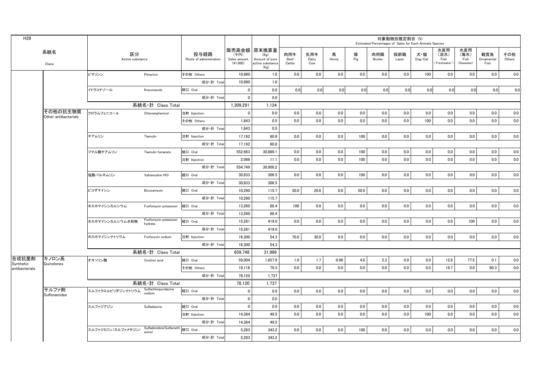| H <sub>28</sub>             |                                  |                        |                                           |                                 |                                    |                                                                   |                       |                     |            |          | Estimated Percentages of Sales for Each Animals Species | 対象動物別推定割合 (%) |                |                                      |                                   |                           |               |
|-----------------------------|----------------------------------|------------------------|-------------------------------------------|---------------------------------|------------------------------------|-------------------------------------------------------------------|-----------------------|---------------------|------------|----------|---------------------------------------------------------|---------------|----------------|--------------------------------------|-----------------------------------|---------------------------|---------------|
|                             | 系統名<br>Class                     | 区分<br>Active substance |                                           | 投与経路<br>Route of administration | (千円)<br>Sales amount<br>$(*1,000)$ | 販売高金額 原末換算量<br>(Kg)<br>Amount of pure<br>active substance<br>(Kg) | 肉用牛<br>Beef<br>Cattle | 乳用牛<br>Dairy<br>Cow | 馬<br>Horse | 豚<br>Pig | 肉用鶏<br>Broiler                                          | 採卵鶏<br>Layer  | 犬・猫<br>Dog/Cat | 水産用<br>(淡水)<br>Fish<br>(Freshwater ) | 水産用<br>(海水)<br>Fish<br>(Seawater) | 観賞魚<br>Ornamental<br>Fish | その他<br>Others |
|                             |                                  | ピマリシン                  | Pimaricin                                 | その他 Others                      | 10,980                             | 1.6                                                               | 0.0                   | 0.0                 | 0.0        | 0.0      | 0.0                                                     | 0.0           | 100            | 0.0                                  | 0.0                               | 0.0                       | 0.0           |
|                             |                                  |                        |                                           | 成分·計 Total                      | 10,980                             | 1.6                                                               |                       |                     |            |          |                                                         |               |                |                                      |                                   |                           |               |
|                             |                                  | イトラコナゾール               | Itraconazole                              | 経口 Oral                         | 0                                  | 0.0                                                               | 0.0                   | 0.0                 | 0.0        | 0.0      | 0.0                                                     | 0.0           | 0.0            | 0.0                                  | 0.0                               | 0.0                       | 0.0           |
|                             |                                  |                        |                                           | 成分·計 Total                      | $\Omega$                           | 0.0                                                               |                       |                     |            |          |                                                         |               |                |                                      |                                   |                           |               |
|                             |                                  |                        | 系統名·計 Class Total                         |                                 | 1,309,291                          | 1,124                                                             |                       |                     |            |          |                                                         |               |                |                                      |                                   |                           |               |
|                             | その他の抗生物質<br>Other antibacterials | クロラムフェニコール             | Chloramphenicol                           | 注射 Injection                    | $\Omega$                           | 0.0                                                               | 0.0                   | $0.0\,$             | 0.0        | 0.0      | 0.0                                                     | 0.0           | 0.0            | 0.0                                  | 0.0                               | 0.0                       | 0.0           |
|                             |                                  |                        |                                           | その他 Others                      | 1,843                              | 0.5                                                               | 0.0                   | 0.0                 | 0.0        | 0.0      | 0.0                                                     | 0.0           | 100            | 0.0                                  | 0.0                               | 0.0                       | 0.0           |
|                             |                                  |                        |                                           | 成分·計 Tota                       | 1.843                              | 0.5                                                               |                       |                     |            |          |                                                         |               |                |                                      |                                   |                           |               |
|                             |                                  | チアムリン                  | Tiamulin                                  | 注射 Injection                    | 17,192                             | 80.8                                                              | 0.0                   | 0.0                 | 0.0        | 100      | 0.0                                                     | 0.0           | 0.0            | 0.0                                  | 0.0                               | 0.0                       | 0.0           |
|                             |                                  |                        |                                           | 成分·計 Total                      | 17,192                             | 80.8                                                              |                       |                     |            |          |                                                         |               |                |                                      |                                   |                           |               |
|                             |                                  | フマル酸チアムリン              | Tiamulin fumarate                         | 経口 Oral                         | 552,663                            | 30,889.1                                                          | 0.0                   | 0.0                 | 0.0        | 100      | 0.0                                                     | 0.0           | 0.0            | 0.0                                  | 0.0                               | 0.0                       | 0.0           |
|                             |                                  |                        |                                           | 注射 Injection                    | 2.086                              | 11.1                                                              | 0.0                   | 0.0                 | 0.0        | 100      | 0.0                                                     | 0.0           | 0.0            | 0.0                                  | 0.0                               | 0.0                       | 0.0           |
|                             |                                  |                        |                                           | 成分·計 Total                      | 554.749                            | 30.900.2                                                          |                       |                     |            |          |                                                         |               |                |                                      |                                   |                           |               |
|                             |                                  | 塩酸バルネムリン               | Valnemuline HCI                           | 経口 Oral                         | 30,833                             | 306.5                                                             | 0.0                   | 0.0                 | 0.0        | 100      | 0.0                                                     | 0.0           | 0.0            | 0.0                                  | 0.0                               | 0.0                       | 0.0           |
|                             |                                  |                        |                                           | 成分·計 Total                      | 30,833                             | 306.5                                                             |                       |                     |            |          |                                                         |               |                |                                      |                                   |                           |               |
|                             |                                  | ビコザマイシン                | Bicozamycin                               | 経口 Oral                         | 10.290                             | 115.7                                                             | 30.0                  | 20.0                | 0.0        | 50.0     | 0.0                                                     | 0.0           | 0.0            | 0.0                                  | 0.0                               | 0.0                       | 0.0           |
|                             |                                  |                        |                                           | 成分·計 Tota                       | 10,290                             | 115.7                                                             |                       |                     |            |          |                                                         |               |                |                                      |                                   |                           |               |
|                             |                                  | ホスホマイシンカルシウム           | Fosfomycin potassium                      | 経口 Oral                         | 13,260                             | 88.4                                                              | 100                   | 0.0                 | 0.0        | 0.0      | 0.0                                                     | 0.0           | 0.0            | 0.0                                  | 0.0                               | 0.0                       | 0.0           |
|                             |                                  |                        |                                           | 成分·計 Total                      | 13,260                             | 88.4                                                              |                       |                     |            |          |                                                         |               |                |                                      |                                   |                           |               |
|                             |                                  | ホスホマイシンカルシウム水和物        | Fosfomycin potassium<br>hydrate           | 経口 Oral                         | 15.281                             | 419.0                                                             | 0.0                   | 0.0                 | 0.0        | 0.0      | 0.0                                                     | 0.0           | 0.0            | 0.0                                  | 100                               | 0.0                       | 0.0           |
|                             |                                  |                        |                                           | 成分·計 Total                      | 15,281                             | 419.0                                                             |                       |                     |            |          |                                                         |               |                |                                      |                                   |                           |               |
|                             |                                  | ホスホマイシンナトリウム           | Fosforycin sodium                         | 注射 Injection                    | 16,300                             | 54.3                                                              | 70.0                  | 30.0                | 0.0        | 0.0      | 0.0                                                     | 0.0           | 0.0            | 0.0                                  | 0.0                               | 0.0                       | 0.0           |
|                             |                                  |                        |                                           | 成分·計 Total                      | 16,300                             | 54.3                                                              |                       |                     |            |          |                                                         |               |                |                                      |                                   |                           |               |
|                             |                                  |                        | 系統名·計 Class Total                         |                                 | 659,748                            | 31.966                                                            |                       |                     |            |          |                                                         |               |                |                                      |                                   |                           |               |
| 合成抗菌剤                       | キノロン系                            | オキソリン酸                 | Oxolinic acid                             | 経口 Oral                         | 59,004                             | 1,657.9                                                           | 1.0                   | 1.7                 | 0.00       | 4.6      | 2.3                                                     | 0.0           | 0.0            | 12.8                                 | 77.5                              | 0.1                       | 0.0           |
| Synthetic<br>antibacterials | Quinolones                       |                        |                                           | その他 Others                      | 19,116                             | 79.3                                                              | 0.0                   | 0.0                 | 0.0        | 0.0      | 0.0                                                     | 0.0           | 0.0            | 19.7                                 | 0.0                               | 80.3                      | 0.0           |
|                             |                                  |                        |                                           | 成分·計 Total                      | 78,120                             | 1,737                                                             |                       |                     |            |          |                                                         |               |                |                                      |                                   |                           |               |
|                             |                                  |                        | 系統名·計 Class Total                         |                                 | 78,120                             | 1,737                                                             |                       |                     |            |          |                                                         |               |                |                                      |                                   |                           |               |
|                             | サルファ剤<br>Sulfonamides            | スルファクロルピリダジンナトリウム      | Sulfachlorpyridazine<br>sodium            | 経口 Oral                         | $\mathbf 0$                        | 0.0                                                               | 0.0                   | 0.0                 | 0.0        | 0.0      | 0.0                                                     | 0.0           | 0.0            | 0.0                                  | 0.0                               | 0.0                       | 0.0           |
|                             |                                  |                        |                                           | 成分·計 Total                      | $\mathbf 0$                        | 0.0                                                               |                       |                     |            |          |                                                         |               |                |                                      |                                   |                           |               |
|                             |                                  | スルファジアジン               | Sulfadiazine                              | 経口 Oral                         | $\overline{\mathbf{0}}$            | 0.0                                                               | 0.0                   | 0.0                 | 0.0        | 0.0      | 0.0                                                     | 0.0           | 0.0            | 0.0                                  | 0.0                               | 0.0                       | 0.0           |
|                             |                                  |                        |                                           | 注射 Injection                    | 14.384                             | 49.5                                                              | 0.0                   | 0.0                 | 0.0        | 0.0      | 0.0                                                     | 0.0           | 100            | 0.0                                  | 0.0                               | 0.0                       | 0.0           |
|                             |                                  |                        |                                           | 成分·計 Total                      | 14,384                             | 49.5                                                              |                       |                     |            |          |                                                         |               |                |                                      |                                   |                           |               |
|                             |                                  | スルファジミジン(スルファメサジン)     | Sulfadimidine(Sulfameth 経口 Oral<br>azine) |                                 | 5,283                              | 343.2                                                             | 0.0                   | 0.0                 | 0.0        | 100      | 0.0                                                     | 0.0           | 0.0            | 0.0                                  | 0.0                               | 0.0                       | 0.0           |
|                             |                                  |                        |                                           | 成分·計 Total                      | 5,283                              | 343.2                                                             |                       |                     |            |          |                                                         |               |                |                                      |                                   |                           |               |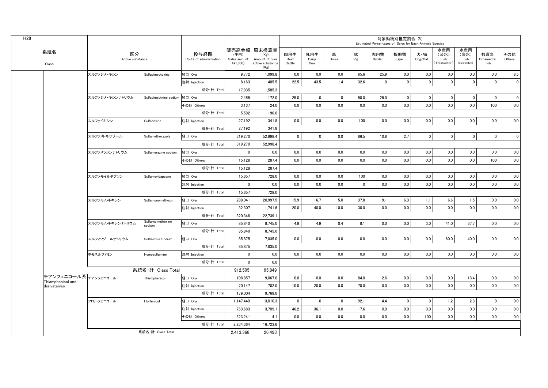|                                   |                        |                             |                                 |                                  |                                                                   |                       |                     |                |             |                | 対象動物別推定割合 (%) | Estimated Percentages of Sales for Each Animals Species |                                      |                                   |                           |               |
|-----------------------------------|------------------------|-----------------------------|---------------------------------|----------------------------------|-------------------------------------------------------------------|-----------------------|---------------------|----------------|-------------|----------------|---------------|---------------------------------------------------------|--------------------------------------|-----------------------------------|---------------------------|---------------|
| 系統名<br>Class                      | 区分<br>Active substance |                             | 投与経路<br>Route of administration | (千円)<br>Sales amount<br>(41,000) | 販売高金額 原末換算量<br>(Kg)<br>Amount of pure<br>active substance<br>(Kg) | 肉用牛<br>Beef<br>Cattle | 乳用牛<br>Dairy<br>Cow | 馬<br>Horse     | 豚<br>Pig    | 肉用鶏<br>Broiler | 採卵鶏<br>Layer  | 犬・猫<br>Dog/Cat                                          | 水産用<br>(淡水)<br>Fish<br>(Freshwater ) | 水産用<br>(海水)<br>Fish<br>(Seawater) | 観賞魚<br>Ornamental<br>Fish | その他<br>Others |
|                                   | スルファジメトキシン             | Sulfadimethoxine            | 経口 Oral                         | 9,772                            | 1,099.8                                                           | 0.0                   | 0.0                 | 0.0            | 65.6        | 25.9           | 0.0           | 0.0                                                     | 0.0                                  | 0.0                               | 0.0                       | 8.5           |
|                                   |                        |                             | 注射 Injection                    | 8,163                            | 485.5                                                             | 22.5                  | 43.5                | 1.4            | 32.6        | $\mathbf 0$    | $\mathbf{0}$  | $\mathbf{0}$                                            | $\mathbf{0}$                         | $\mathbf{0}$                      | $\mathbf 0$               | $\mathbf{0}$  |
|                                   |                        |                             | 成分·計 Total                      | 17.935                           | 1.585.3                                                           |                       |                     |                |             |                |               |                                                         |                                      |                                   |                           |               |
|                                   | スルファジメトキシンナトリウム        | Sulfadimethxine sodium      | 経口 Oral                         | 2,455                            | 172.0                                                             | 25.0                  | $\mathbf 0$         | $\pmb{0}$      | 50.0        | 25.0           | $\pmb{0}$     | $\mathbf 0$                                             | $\mathbf 0$                          | $\mathbf 0$                       | $\mathbf 0$               | $\pmb{0}$     |
|                                   |                        |                             | その他 Others                      | 3,137                            | 24.0                                                              | 0.0                   | 0.0                 | 0.0            | 0.0         | 0.0            | 0.0           | 0.0                                                     | 0.0                                  | 0.0                               | 100                       | 0.0           |
|                                   |                        |                             | 成分·計 Total                      | 5,592                            | 196.0                                                             |                       |                     |                |             |                |               |                                                         |                                      |                                   |                           |               |
|                                   | スルファドキシン               | Sulfadoxine                 | 注射 Injection                    | 27,192                           | 341.8                                                             | 0.0                   | 0.0                 | $0.0\,$        | 100         | 0.0            | 0.0           | 0.0                                                     | 0.0                                  | $0.0\,$                           | 0.0                       | 0.0           |
|                                   |                        |                             | 成分·計 Total                      | 27.192                           | 341.8                                                             |                       |                     |                |             |                |               |                                                         |                                      |                                   |                           |               |
|                                   | スルファメトキサゾール            | Sulfamethoxazole            | 経口 Oral                         | 319,270                          | 52.998.4                                                          | $\mathbf 0$           | $\mathbf 0$         | 0.0            | 86.5        | 10.8           | 2.7           | $\overline{0}$                                          | $\mathbf 0$                          | $\overline{0}$                    | $\mathbf 0$               | $\mathbf 0$   |
|                                   |                        |                             | 成分·計 Total                      | 319,270                          | 52,998.4                                                          |                       |                     |                |             |                |               |                                                         |                                      |                                   |                           |               |
|                                   | スルファメラジンナトリウム          | Sulfamerazine sodium        | 経口 Oral                         | $\pmb{0}$                        | 0.0                                                               | 0.0                   | 0.0                 | 0.0            | 0.0         | 0.0            | 0.0           | 0.0                                                     | 0.0                                  | 0.0                               | 0.0                       | 0.0           |
|                                   |                        |                             | その他 Others                      | 15,128                           | 287.4                                                             | 0.0                   | 0.0                 | 0.0            | 0.0         | 0.0            | 0.0           | 0.0                                                     | 0.0                                  | 0.0                               | 100                       | 0.0           |
|                                   |                        |                             | 成分·計 Total                      | 15,128                           | 287.4                                                             |                       |                     |                |             |                |               |                                                         |                                      |                                   |                           |               |
|                                   | スルファモイルダプソン            | SulfamoyIdapsone            | 経口 Oral                         | 15,657                           | 728.0                                                             | 0.0                   | 0.0                 | 0.0            | 100         | 0.0            | 0.0           | 0.0                                                     | 0.0                                  | 0.0                               | 0.0                       | 0.0           |
|                                   |                        |                             | 注射 Injection                    | $\mathbf 0$                      | 0.0                                                               | 0.0                   | 0.0                 | 0.0            | $\mathbf 0$ | 0.0            | 0.0           | 0.0                                                     | 0.0                                  | 0.0                               | 0.0                       | 0.0           |
|                                   |                        |                             | 成分·計 Total                      | 15,657                           | 728.0                                                             |                       |                     |                |             |                |               |                                                         |                                      |                                   |                           |               |
|                                   | スルファモノメトキシン            | Sulfamonomethoxin           | 経口 Oral                         | 288,041                          | 20,997.5                                                          | 15.9                  | 16.7                | 5.0            | 37.8        | 9.1            | 6.3           | 1.1                                                     | 6.6                                  | 1.5                               | 0.0                       | 0.0           |
|                                   |                        |                             | 注射 Injection                    | 32,307                           | 1,741.6                                                           | 20.0                  | 40.0                | 10.0           | 30.0        | 0.0            | 0.0           | 0.0                                                     | 0.0                                  | 0.0                               | 0.0                       | 0.0           |
|                                   |                        |                             | 成分·計 Total                      | 320.348                          | 22.739.1                                                          |                       |                     |                |             |                |               |                                                         |                                      |                                   |                           |               |
|                                   | スルファモノメトキシンナトリウム       | Sulfarnomethoxine<br>sodium | 経口 Oral                         | 85,840                           | 8,745.0                                                           | 4.9                   | 4.9                 | 0.4            | 8.1         | 0.0            | 0.0           | 3.0                                                     | 41.0                                 | 37.7                              | 0.0                       | 0.0           |
|                                   |                        |                             | 成分·計 Total                      | 85,840                           | 8,745.0                                                           |                       |                     |                |             |                |               |                                                         |                                      |                                   |                           |               |
|                                   | スルフィソゾールナトリウム          | Sulfisozole Sodium          | 経口 Oral                         | 85,875                           | 7.835.0                                                           | 0.0                   | 0.0                 | 0.0            | 0.0         | 0.0            | 0.0           | 0.0                                                     | 60.0                                 | 40.0                              | 0.0                       | 0.0           |
|                                   |                        |                             | 成分·計 Total                      | 85,875                           | 7,835.0                                                           |                       |                     |                |             |                |               |                                                         |                                      |                                   |                           |               |
|                                   | ホモスルファミン               | Homosulfamine               | 注射 Injection                    | $\mathbf{0}$                     | 0.0                                                               | 0.0                   | 0.0                 | 0.0            | 0.0         | 0.0            | 0.0           | 0.0                                                     | 0.0                                  | 0.0                               | 0.0                       | 0.0           |
|                                   |                        |                             | 成分·計 Total                      | $\mathbf{0}$                     | 0.0                                                               |                       |                     |                |             |                |               |                                                         |                                      |                                   |                           |               |
|                                   |                        | 系統名·計 Class Total           |                                 | 912,505                          | 95.849                                                            |                       |                     |                |             |                |               |                                                         |                                      |                                   |                           |               |
| チアンフェニコール系 <sub>チアンフェニコール</sub>   |                        | Thiamphenicol               | 経口 Oral                         | 108,857                          | 9,067.0                                                           | 0.0                   | 0.0                 | 0.0            | 84.0        | 2.6            | 0.0           | 0.0                                                     | 0.0                                  | 13.4                              | 0.0                       | 0.0           |
| Thiamphenicol and<br>derivateives |                        |                             | 注射 Injection                    | 70,147                           | 702.0                                                             | 10.0                  | 20.0                | 0.0            | 70.0        | 0.0            | 0.0           | 0.0                                                     | 0.0                                  | 0.0                               | 0.0                       | 0.0           |
|                                   |                        |                             | 成分·計 Total                      | 179,004                          | 9,769.0                                                           |                       |                     |                |             |                |               |                                                         |                                      |                                   |                           |               |
|                                   | フロルフェニコール              | Florfenicol                 | 経口 Oral                         | 1,147,440                        | 13,010.3                                                          | $\mathbf 0$           | $\mathbf 0$         | $\overline{0}$ | 92.1        | 4.4            | $\mathbf 0$   | $\overline{0}$                                          | 1.2                                  | 2.3                               | $\mathbf{0}$              | 0.0           |
|                                   |                        |                             | 注射 Injection                    | 763.683                          | 3.709.1                                                           | 46.2                  | 36.1                | 0.0            | 17.6        | 0.0            | 0.0           | 0.0                                                     | 0.0                                  | 0.0                               | 0.0                       | 0.0           |
|                                   |                        |                             | その他 Others                      | 323,241                          | 4.1                                                               | 0.0                   | 0.0                 | 0.0            | 0.0         | 0.0            | 0.0           | 100                                                     | 0.0                                  | 0.0                               | 0.0                       | 0.0           |
|                                   |                        |                             | 成分·計 Total                      | 2,234,364                        | 16,723.6                                                          |                       |                     |                |             |                |               |                                                         |                                      |                                   |                           |               |
|                                   |                        | 系統名·計 Class Total           |                                 | 2,413,368                        | 26.493                                                            |                       |                     |                |             |                |               |                                                         |                                      |                                   |                           |               |
|                                   |                        |                             |                                 |                                  |                                                                   |                       |                     |                |             |                |               |                                                         |                                      |                                   |                           |               |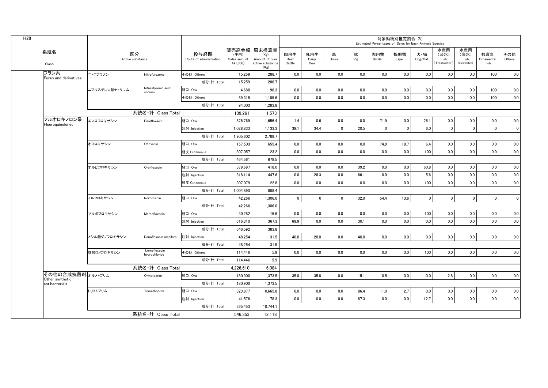| H <sub>28</sub> |                                     |               |                               |                                 |                                  |                                                                   |                       |                     |             |          |                | 対象動物別推定割合 (%)<br>Estimated Percentages of Sales for Each Animals Species |                                    |                                     |                                   |                           |               |
|-----------------|-------------------------------------|---------------|-------------------------------|---------------------------------|----------------------------------|-------------------------------------------------------------------|-----------------------|---------------------|-------------|----------|----------------|--------------------------------------------------------------------------|------------------------------------|-------------------------------------|-----------------------------------|---------------------------|---------------|
|                 | 系統名<br>Class                        |               | 区分<br>Active substance        | 投与経路<br>Route of administration | (千円)<br>Sales amount<br>(41,000) | 販売高金額 原末換算量<br>(Kg)<br>Amount of pure<br>active substance<br>(Kg) | 肉用牛<br>Beef<br>Cattle | 乳用牛<br>Dairy<br>Cow | 馬<br>Horse  | 豚<br>Pig | 肉用鶏<br>Broiler | 採卵鶏<br>Layer                                                             | 犬・猫<br>$\mathsf{Dog}/\mathsf{Cat}$ | 水産用<br>(淡水)<br>Fish<br>Freshwater ) | 水産用<br>(海水)<br>Fish<br>(Seawater) | 観賞魚<br>Ornamental<br>Fish | その他<br>Others |
|                 | フラン系<br>Furan and derivatives       | ニトロフラゾン       | Nitrofurazone                 | その他 Others                      | 15.259                           | 288.7                                                             | 0.0                   | 0.0                 | 0.0         | 0.0      | 0.0            | 0.0                                                                      | 0.0                                | 0.0                                 | 0.0                               | 100                       | 0.0           |
|                 |                                     |               |                               | 成分·計 Total                      | 15.259                           | 288.7                                                             |                       |                     |             |          |                |                                                                          |                                    |                                     |                                   |                           |               |
|                 |                                     | ニフルスチレン酸ナトリウム | Nifurstyrenic acid<br>sodium  | 経口 Oral                         | 4,688                            | 98.3                                                              | 0.0                   | 0.0                 | 0.0         | 0.0      | 0.0            | 0.0                                                                      | 0.0                                | 0.0                                 | 0.0                               | 100                       | 0.0           |
|                 |                                     |               |                               | その他 Others                      | 89,315                           | 1,185.6                                                           | 0.0                   | 0.0                 | 0.0         | 0.0      | 0.0            | 0.0                                                                      | 0.0                                | 0.0                                 | 0.0                               | 100                       | 0.0           |
|                 |                                     |               |                               | 成分·計 Total                      | 94,003                           | 1,283.8                                                           |                       |                     |             |          |                |                                                                          |                                    |                                     |                                   |                           |               |
|                 |                                     |               | 系統名·計 Class Total             |                                 | 109.261                          | 1,573                                                             |                       |                     |             |          |                |                                                                          |                                    |                                     |                                   |                           |               |
|                 | フルオロキノロン系<br>Fluoroquinolones       | エンロフロキサシン     | Enrofloxacin                  | 経口 Oral                         | 876.769                          | 1,656.4                                                           | 1.4                   | 0.6                 | 0.0         | 0.0      | 71.9           | 0.0                                                                      | 26.1                               | 0.0                                 | 0.0                               | 0.0                       | 0.0           |
|                 |                                     |               |                               | 注射 Injection                    | 1,028,833                        | 1,133.3                                                           | 39.1                  | 34.4                | $\mathbf 0$ | 20.5     | $\mathbf 0$    | $\mathbf 0$                                                              | 6.0                                | $\mathbf 0$                         | $\mathbf 0$                       | $\mathbf 0$               | $\mathbf 0$   |
|                 |                                     |               |                               | 成分·計 Total                      | 1,905,602                        | 2,789.7                                                           |                       |                     |             |          |                |                                                                          |                                    |                                     |                                   |                           |               |
|                 |                                     | オフロキサシン       | Ofloxacin                     | 経口 Oral                         | 157.503                          | 655.4                                                             | 0.0                   | 0.0                 | 0.0         | 0.0      | 74.9           | 18.7                                                                     | 6.4                                | 0.0                                 | 0.0                               | 0.0                       | 0.0           |
|                 |                                     |               |                               | 経皮 Cutaneous                    | 307.057                          | 23.2                                                              | 0.0                   | 0.0                 | 0.0         | 0.0      | 0.0            | 0.0                                                                      | 100                                | 0.0                                 | 0.0                               | 0.0                       | 0.0           |
|                 |                                     |               |                               | 成分·計 Total                      | 464,561                          | 678.5                                                             |                       |                     |             |          |                |                                                                          |                                    |                                     |                                   |                           |               |
|                 |                                     | オルビフロキサシン     | Orbifloxacin                  | 経口 Oral                         | 379,697                          | 418.0                                                             | 0.0                   | 0.0                 | 0.0         | 39.2     | 0.0            | 0.0                                                                      | 60.8                               | 0.0                                 | 0.0                               | 0.0                       | 0.0           |
|                 |                                     |               |                               | 注射 Injection                    | 318,114                          | 447.6                                                             | 0.0                   | 28.3                | 0.0         | 66.1     | 0.0            | 0.0                                                                      | 5.6                                | 0.0                                 | 0.0                               | 0.0                       | 0.0           |
|                 |                                     |               |                               | 経皮 Cutaneous                    | 307,079                          | 22.8                                                              | 0.0                   | 0.0                 | 0.0         | 0.0      | 0.0            | 0.0                                                                      | 100                                | 0.0                                 | 0.0                               | 0.0                       | 0.0           |
|                 |                                     |               |                               | 成分·計 Total                      | 1.004.890                        | 888.4                                                             |                       |                     |             |          |                |                                                                          |                                    |                                     |                                   |                           |               |
|                 |                                     | ノルフロキサシン      | Norfloxacin                   | 経口 Oral                         | 42,266                           | 1,306.0                                                           | $\mathbf 0$           | $\mathbf 0$         | $\mathbf 0$ | 32.0     | 54.4           | 13.6                                                                     | $\mathbf 0$                        | $\mathbf 0$                         | $\mathbf 0$                       | $\mathbf 0$               | $\mathbf{0}$  |
|                 |                                     |               |                               | 成分·計 Total                      | 42,266                           | 1,306.0                                                           |                       |                     |             |          |                |                                                                          |                                    |                                     |                                   |                           |               |
|                 |                                     | マルボフロキサシン     | Marbofloxacin                 | 経口 Oral                         | 30.282                           | 16.6                                                              | 0.0                   | 0.0                 | 0.0         | 0.0      | 0.0            | 0.0                                                                      | 100                                | 0.0                                 | 0.0                               | 0.0                       | 0.0           |
|                 |                                     |               |                               | 注射 Injection                    | 616.310                          | 367.3                                                             | 69.9                  | 0.0                 | 0.0         | 30.1     | 0.0            | 0.0                                                                      | 0.0                                | 0.0                                 | 0.0                               | 0.0                       | 0.0           |
|                 |                                     |               |                               | 成分·計 Total                      | 646.592                          | 383.8                                                             |                       |                     |             |          |                |                                                                          |                                    |                                     |                                   |                           |               |
|                 |                                     | メシル酸ダノフロキサシン  | Danofloxacin mesilate         | 注射 Injection                    | 48,254                           | 31.5                                                              | 40.0                  | 20.0                | 0.0         | 40.0     | 0.0            | 0.0                                                                      | 0.0                                | 0.0                                 | 0.0                               | 0.0                       | 0.0           |
|                 |                                     |               |                               | 成分·計 Total                      | 48,254                           | 31.5                                                              |                       |                     |             |          |                |                                                                          |                                    |                                     |                                   |                           |               |
|                 |                                     | 塩酸ロメフロキサシン    | Lomefloxacin<br>hydrochloride | その他 Others                      | 114,446                          | 5.9                                                               | 0.0                   | 0.0                 | 0.0         | 0.0      | 0.0            | 0.0                                                                      | 100                                | 0.0                                 | 0.0                               | 0.0                       | 0.0           |
|                 |                                     |               |                               | 成分·計 Total                      | 114.446                          | 5.9                                                               |                       |                     |             |          |                |                                                                          |                                    |                                     |                                   |                           |               |
|                 |                                     |               | 系統名·計 Class Total             |                                 | 4,226,610                        | 6,084                                                             |                       |                     |             |          |                |                                                                          |                                    |                                     |                                   |                           |               |
|                 | その他の合成抗菌剤オルメトプリム<br>Other synthetic |               | Ormetoprim                    | 経口 Oral                         | 180,900                          | 1,373.5                                                           | 35.8                  | 35.8                | 0.0         | 15.1     | 10.5           | 0.0                                                                      | 0.0                                | 2.8                                 | 0.0                               | 0.0                       | 0.0           |
|                 | antibacterials                      |               |                               | 成分·計 Total                      | 180.900                          | 1,373.5                                                           |                       |                     |             |          |                |                                                                          |                                    |                                     |                                   |                           |               |
|                 |                                     | トリメトプリム       | Trimethoprim                  | 経口 Oral                         | 323,877                          | 10,665.8                                                          | 0.0                   | 0.0                 | 0.0         | 86.4     | 11.0           | 2.7                                                                      | 0.0                                | 0.0                                 | 0.0                               | 0.0                       | 0.0           |
|                 |                                     |               |                               | 注射 Injection                    | 41.576                           | 78.3                                                              | 0.0                   | 0.0                 | 0.0         | 87.3     | 0.0            | 0.0                                                                      | 12.7                               | 0.0                                 | 0.0                               | 0.0                       | 0.0           |
|                 |                                     |               |                               | 成分·計 Total                      | 365,453                          | 10,744.1                                                          |                       |                     |             |          |                |                                                                          |                                    |                                     |                                   |                           |               |
|                 |                                     |               | 系統名·計 Class Total             |                                 | 546,353                          | 12,118                                                            |                       |                     |             |          |                |                                                                          |                                    |                                     |                                   |                           |               |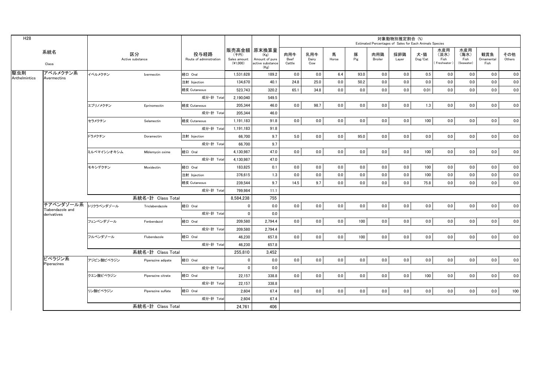|                                 |             |                        |                                 |                                  |                                                                   |                       |                     |            |          |                | 対象動物別推定割合 (%) | Estimated Percentages of Sales for Each Animals Species |                                   |                                   |                           |               |
|---------------------------------|-------------|------------------------|---------------------------------|----------------------------------|-------------------------------------------------------------------|-----------------------|---------------------|------------|----------|----------------|---------------|---------------------------------------------------------|-----------------------------------|-----------------------------------|---------------------------|---------------|
| 系統名<br>Class                    |             | 区分<br>Active substance | 投与経路<br>Route of administration | (千円)<br>Sales amount<br>(41,000) | 販売高金額 原末換算量<br>(Kg)<br>Amount of pure<br>active substance<br>(Kg) | 肉用牛<br>Beef<br>Cattle | 乳用牛<br>Dairy<br>Cow | 馬<br>Horse | 豚<br>Pig | 肉用鶏<br>Broiler | 採卵鶏<br>Layer  | 犬・猫<br>$\mathsf{Dog}/\mathsf{Cat}$                      | 水産用<br>(淡水)<br>Fish<br>Freshwater | 水産用<br>(海水)<br>Fish<br>(Seawater) | 観賞魚<br>Ornamental<br>Fish | その他<br>Others |
| アベルメクチン系                        | イベルメクチン     | Ivermectin             | 経口 Oral                         | 1,531,628                        | 189.2                                                             | 0.0                   | 0.0                 | 6.4        | 93.0     | 0.0            | 0.0           | 0.5                                                     | 0.0                               | 0.0                               | 0.0                       | 0.0           |
| Avermectins                     |             |                        | 注射 Injection                    | 134.670                          | 40.1                                                              | 24.8                  | 25.0                | 0.0        | 50.2     | 0.0            | 0.0           | 0.0                                                     | 0.0                               | 0.0                               | 0.0                       | 0.0           |
|                                 |             |                        | 経皮 Cutaneous                    | 523,743                          | 320.2                                                             | 65.1                  | 34.8                | 0.0        | 0.0      | 0.0            | 0.0           | 0.01                                                    | 0.0                               | 0.0                               | 0.0                       | 0.0           |
|                                 |             |                        | 成分·計 Total                      | 2.190.040                        | 549.5                                                             |                       |                     |            |          |                |               |                                                         |                                   |                                   |                           |               |
|                                 | エプリノメクチン    | Eprinomectin           | 経皮 Cutaneous                    | 205,344                          | 46.0                                                              | 0.0                   | 98.7                | 0.0        | 0.0      | 0.0            | 0.0           | 1.3                                                     | 0.0                               | 0.0                               | 0.0                       | 0.0           |
|                                 |             |                        | 成分·計 Total                      | 205,344                          | 46.0                                                              |                       |                     |            |          |                |               |                                                         |                                   |                                   |                           |               |
|                                 | セラメクチン      | Selamectin             | 経皮 Cutaneous                    | 1,191,183                        | 91.8                                                              | 0.0                   | 0.0                 | 0.0        | 0.0      | 0.0            | 0.0           | 100                                                     | 0.0                               | 0.0                               | 0.0                       | 0.0           |
|                                 |             |                        | 成分·計 Total                      | 1,191,183                        | 91.8                                                              |                       |                     |            |          |                |               |                                                         |                                   |                                   |                           |               |
|                                 | ドラメクチン      | Doramectin             | 注射 Injection                    | 66,700                           | 9.7                                                               | 5.0                   | 0.0                 | 0.0        | 95.0     | 0.0            | 0.0           | 0.0                                                     | 0.0                               | 0.0                               | 0.0                       | 0.0           |
|                                 |             |                        | 成分·計 Total                      | 66,700                           | 9.7                                                               |                       |                     |            |          |                |               |                                                         |                                   |                                   |                           |               |
|                                 | ミルベマイシンオキシム | Miblemycin oxime       | 経口 Oral                         | 4,130,987                        | 47.0                                                              | 0.0                   | 0.0                 | 0.0        | 0.0      | 0.0            | 0.0           | 100                                                     | 0.0                               | 0.0                               | 0.0                       | 0.0           |
|                                 |             |                        | 成分·計 Total                      | 4.130.987                        | 47.0                                                              |                       |                     |            |          |                |               |                                                         |                                   |                                   |                           |               |
|                                 | モキシデクチン     | Moxidectin             | 経口 Oral                         | 183,825                          | 0.1                                                               | 0.0                   | 0.0                 | 0.0        | 0.0      | 0.0            | 0.0           | 100                                                     | 0.0                               | 0.0                               | 0.0                       | 0.0           |
|                                 |             |                        | 注射 Injection                    | 376,615                          | 1.3                                                               | 0.0                   | 0.0                 | 0.0        | 0.0      | 0.0            | 0.0           | 100                                                     | 0.0                               | 0.0                               | 0.0                       | 0.0           |
|                                 |             |                        | 経皮 Cutaneous                    | 239.544                          | 9.7                                                               | 14.5                  | 9.7                 | 0.0        | 0.0      | 0.0            | 0.0           | 75.8                                                    | 0.0                               | 0.0                               | 0.0                       | 0.0           |
|                                 |             |                        | 成分·計 Total                      | 799,984                          | 11.1                                                              |                       |                     |            |          |                |               |                                                         |                                   |                                   |                           |               |
|                                 |             | 系統名·計 Class Total      |                                 | 8,584,238                        | 755                                                               |                       |                     |            |          |                |               |                                                         |                                   |                                   |                           |               |
| チアベンダゾール系                       | トリクラベンダゾール  | Triclabendazole        | 経口 Oral                         | $\mathbf{0}$                     | 0.0                                                               | 0.0                   | 0.0                 | 0.0        | 0.0      | 0.0            | 0.0           | 0.0                                                     | 0.0                               | 0.0                               | 0.0                       | 0.0           |
| Tiabendazole and<br>derivatives |             |                        | 成分·計 Total                      | $\Omega$                         | 0.0                                                               |                       |                     |            |          |                |               |                                                         |                                   |                                   |                           |               |
|                                 | フェンベンダゾール   | Fenbendazol            | 経口 Oral                         | 209,580                          | 2,794.4                                                           | 0.0                   | 0.0                 | 0.0        | 100      | 0.0            | 0.0           | 0.0                                                     | 0.0                               | 0.0                               | 0.0                       | 0.0           |
|                                 |             |                        | 成分·計 Total                      | 209,580                          | 2,794.4                                                           |                       |                     |            |          |                |               |                                                         |                                   |                                   |                           |               |
|                                 | フルベンダゾール    | Flubendazole           | 経口 Oral                         | 46,230                           | 657.8                                                             | 0.0                   | 0.0                 | 0.0        | 100      | 0.0            | 0.0           | 0.0                                                     | 0.0                               | 0.0                               | 0.0                       | 0.0           |
|                                 |             |                        | 成分·計 Total                      | 46,230                           | 657.8                                                             |                       |                     |            |          |                |               |                                                         |                                   |                                   |                           |               |
|                                 |             | 系統名·計 Class Total      |                                 | 255,810                          | 3,452                                                             |                       |                     |            |          |                |               |                                                         |                                   |                                   |                           |               |
| ピペラジン系<br>Piperazines           | アジピン酸ピペラジン  | Piperazine adipate     | 経口 Oral                         | $\mathbf{0}$                     | 0.0                                                               | 0.0                   | 0.0                 | 0.0        | 0.0      | 0.0            | 0.0           | 0.0                                                     | 0.0                               | 0.0                               | 0.0                       | 0.0           |
|                                 |             |                        | 成分·計 Total                      | $\mathbf 0$                      | 0.0                                                               |                       |                     |            |          |                |               |                                                         |                                   |                                   |                           |               |
|                                 | クエン酸ピペラジン   | Piperazine citrate     | 経口 Oral                         | 22,157                           | 338.8                                                             | 0.0                   | 0.0                 | 0.0        | 0.0      | 0.0            | 0.0           | 100                                                     | 0.0                               | 0.0                               | 0.0                       | 0.0           |
|                                 |             |                        | 成分·計 Total                      | 22,157                           | 338.8                                                             |                       |                     |            |          |                |               |                                                         |                                   |                                   |                           |               |
|                                 | リン酸ピペラジン    | Piperazine sulfate     | 経口 Oral                         | 2,604                            | 67.4                                                              | 0.0                   | 0.0                 | 0.0        | 0.0      | 0.0            | 0.0           | 0.0                                                     | 0.0                               | 0.0                               | 0.0                       | 100           |
|                                 |             |                        | 成分·計 Total                      | 2,604                            | 67.4                                                              |                       |                     |            |          |                |               |                                                         |                                   |                                   |                           |               |
|                                 |             | 系統名·計 Class Total      |                                 | 24.761                           | 406                                                               |                       |                     |            |          |                |               |                                                         |                                   |                                   |                           |               |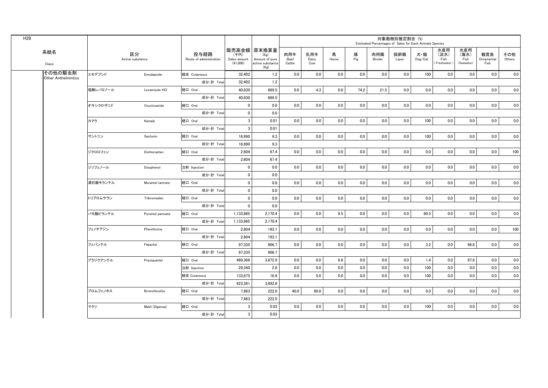| H28 |                                       |          |                        |                                 |                                    |                                                                   |                       |                     |            |          | Estimated Percentages of Sales for Each Animals Species | 対象動物別推定割合 (%) |                                    |                                     |                                   |                           |               |
|-----|---------------------------------------|----------|------------------------|---------------------------------|------------------------------------|-------------------------------------------------------------------|-----------------------|---------------------|------------|----------|---------------------------------------------------------|---------------|------------------------------------|-------------------------------------|-----------------------------------|---------------------------|---------------|
|     | 系統名<br>Class                          |          | 区分<br>Active substance | 投与経路<br>Route of administration | (千円)<br>Sales amount<br>$(*1,000)$ | 販売高金額 原末換算量<br>(Kg)<br>Amount of pure<br>active substance<br>(Kg) | 肉用牛<br>Beef<br>Cattle | 乳用牛<br>Dairy<br>Cow | 馬<br>Horse | 豚<br>Pig | 肉用鶏<br>Broiler                                          | 採卵鶏<br>Layer  | 犬・猫<br>$\mathsf{Dog}/\mathsf{Cat}$ | 水産用<br>(淡水)<br>Fish<br>(Freshwater) | 水産用<br>(海水)<br>Fish<br>(Seawater) | 観賞魚<br>Ornamental<br>Fish | その他<br>Others |
|     | その他の駆虫剤<br><b>Other Anthelmintics</b> | エモデプシド   | Emodepside             | 経皮 Cutaneous                    | 32,402                             | 1.2                                                               | 0.0                   | 0.0                 | 0.0        | 0.0      | 0.0                                                     | 0.0           | 100                                | 0.0                                 | 0.0                               | 0.0                       | 0.0           |
|     |                                       |          |                        | 成分·計 Total                      | 32,402                             | 1.2                                                               |                       |                     |            |          |                                                         |               |                                    |                                     |                                   |                           |               |
|     |                                       | 塩酸レバミゾール | Levamisole HCI         | 経口 Oral                         | 40.830                             | 669.5                                                             | 0.0                   | 4.3                 | 0.0        | 74.2     | 21.5                                                    | 0.0           | 0.0                                | 0.0                                 | 0.0                               | 0.0                       | 0.0           |
|     |                                       |          |                        | 成分·計 Total                      | 40,830                             | 669.5                                                             |                       |                     |            |          |                                                         |               |                                    |                                     |                                   |                           |               |
|     |                                       | オキシクロザニド | Oxyclozanide           | 経口 Oral                         | $\mathbf 0$                        | 0.0                                                               | 0.0                   | 0.0                 | 0.0        | 0.0      | 0.0                                                     | 0.0           | 0.0                                | 0.0                                 | 0.0                               | 0.0                       | 0.0           |
|     |                                       |          |                        | 成分·計 Total                      | $\mathbf{0}$                       | 0.0                                                               |                       |                     |            |          |                                                         |               |                                    |                                     |                                   |                           |               |
|     |                                       | カマラ      | Kamala                 | 経口 Oral                         | 3                                  | 0.01                                                              | $0.0\,$               | 0.0                 | 0.0        | 0.0      | 0.0                                                     | 0.0           | 100                                | 0.0                                 | 0.0                               | 0.0                       | 0.0           |
|     |                                       |          |                        | 成分·計 Total                      | $\mathbf{3}$                       | 0.01                                                              |                       |                     |            |          |                                                         |               |                                    |                                     |                                   |                           |               |
|     |                                       | サントニン    | Santonin               | 経口 Oral                         | 16,990                             | 9.3                                                               | 0.0                   | 0.0                 | 0.0        | 0.0      | 0.0                                                     | 0.0           | 100                                | 0.0                                 | 0.0                               | 0.0                       | 0.0           |
|     |                                       |          |                        | 成分·計 Total                      | 16,990                             | 9.3                                                               |                       |                     |            |          |                                                         |               |                                    |                                     |                                   |                           |               |
|     |                                       | ジクロロフェン  | Dichlorophen           | 経口 Oral                         | 2,604                              | 67.4                                                              | 0.0                   | 0.0                 | 0.0        | 0.0      | 0.0                                                     | $0.0\,$       | 0.0                                | 0.0                                 | 0.0                               | 0.0                       | 100           |
|     |                                       |          |                        | 成分·計 Total                      | 2.604                              | 67.4                                                              |                       |                     |            |          |                                                         |               |                                    |                                     |                                   |                           |               |
|     |                                       | ジソフェノール  | Disophenol             | 注射 Injection                    | $\mathbf{0}$                       | 0.0                                                               | 0.0                   | 0.0                 | 0.0        | 0.0      | 0.0                                                     | 0.0           | 0.0                                | 0.0                                 | 0.0                               | 0.0                       | 0.0           |
|     |                                       |          |                        | 成分·計 Total                      | $\mathbf 0$                        | 0.0                                                               |                       |                     |            |          |                                                         |               |                                    |                                     |                                   |                           |               |
|     |                                       | 酒石酸モランテル | Morantel tartrate      | 経口 Oral                         | $\mathbf 0$                        | 0.0                                                               | 0.0                   | 0.0                 | 0.0        | 0.0      | 0.0                                                     | 0.0           | 0.0                                | 0.0                                 | 0.0                               | 0.0                       | 0.0           |
|     |                                       |          |                        | 成分·計 Total                      | $\mathbf 0$                        | 0.0                                                               |                       |                     |            |          |                                                         |               |                                    |                                     |                                   |                           |               |
|     |                                       | トリブロムサラン | Tribromsalan           | 経口 Oral                         | $\mathbf 0$                        | 0.0                                                               | 0.0                   | 0.0                 | 0.0        | 0.0      | 0.0                                                     | 0.0           | 0.0                                | 0.0                                 | 0.0                               | 0.0                       | 0.0           |
|     |                                       |          |                        | 成分·計 Total                      | $\mathbf{0}$                       | 0.0                                                               |                       |                     |            |          |                                                         |               |                                    |                                     |                                   |                           |               |
|     |                                       | パモ酸ピランテル | Pyrantel pamoate       | 経口 Oral                         | 1.133.865                          | 2.170.4                                                           | 0.0                   | 0.0                 | 9.5        | 0.0      | 0.0                                                     | 0.0           | 90.5                               | 0.0                                 | 0.0                               | 0.0                       | 0.0           |
|     |                                       |          |                        | 成分·計 Total                      | 1,133,865                          | 2,170.4                                                           |                       |                     |            |          |                                                         |               |                                    |                                     |                                   |                           |               |
|     |                                       | フェノチアジン  | Phenithizine           | 経口 Oral                         | 2.604                              | 193.1                                                             | 0.0                   | 0.0                 | 0.0        | 0.0      | 0.0                                                     | 0.0           | 0.0                                | 0.0                                 | 0.0                               | 0.0                       | 100           |
|     |                                       |          |                        | 成分·計 Total                      | 2,604                              | 193.1                                                             |                       |                     |            |          |                                                         |               |                                    |                                     |                                   |                           |               |
|     |                                       | フェバンテル   | Febantel               | 経口 Oral                         | 97.335                             | 906.7                                                             | 0.0                   | 0.0                 | 0.0        | 0.0      | 0.0                                                     | 0.0           | 3.2                                | 0.0                                 | 96.8                              | 0.0                       | 0.0           |
|     |                                       |          |                        | 成分·計 Total                      | 97.335                             | 906.7                                                             |                       |                     |            |          |                                                         |               |                                    |                                     |                                   |                           |               |
|     |                                       | プラジクアンテル | Praziquantel           | 経口 Oral                         | 460,366                            | 3,872.9                                                           | 0.0                   | 0.0                 | 0.8        | 0.0      | 0.0                                                     | 0.0           | 1.4                                | 0.0                                 | 97.8                              | 0.0                       | 0.0           |
|     |                                       |          |                        | 注射 Injection                    | 29,340                             | 2.8                                                               | 0.0                   | 0.0                 | 0.0        | 0.0      | 0.0                                                     | 0.0           | 100                                | 0.0                                 | 0.0                               | 0.0                       | 0.0           |
|     |                                       |          |                        | 経皮 Cutaneous                    | 133,675                            | 16.9                                                              | 0.0                   | 0.0                 | 0.0        | 0.0      | 0.0                                                     | 0.0           | 100                                | 0.0                                 | 0.0                               | 0.0                       | 0.0           |
|     |                                       |          |                        | 成分·計 Total                      | 623,381                            | 3.892.6                                                           |                       |                     |            |          |                                                         |               |                                    |                                     |                                   |                           |               |
|     |                                       | ブロムフェノホス | <b>Bromofenofos</b>    | 経口 Oral                         | 7.963                              | 222.0                                                             | 40.0                  | 60.0                | 0.0        | 0.0      | 0.0                                                     | 0.0           | 0.0                                | 0.0                                 | 0.0                               | 0.0                       | 0.0           |
|     |                                       |          |                        | 成分·計 Total                      | 7,963                              | 222.0                                                             |                       |                     |            |          |                                                         |               |                                    |                                     |                                   |                           |               |
|     |                                       | マクリ      | Makli (Digenea)        | 経口 Oral                         | 3                                  | 0.03                                                              | 0.0                   | 0.0                 | 0.0        | 0.0      | 0.0                                                     | 0.0           | 100                                | 0.0                                 | 0.0                               | 0.0                       | 0.0           |
|     |                                       |          |                        | 成分·計 Total                      | 3                                  | 0.03                                                              |                       |                     |            |          |                                                         |               |                                    |                                     |                                   |                           |               |
|     |                                       |          |                        |                                 |                                    |                                                                   |                       |                     |            |          |                                                         |               |                                    |                                     |                                   |                           |               |